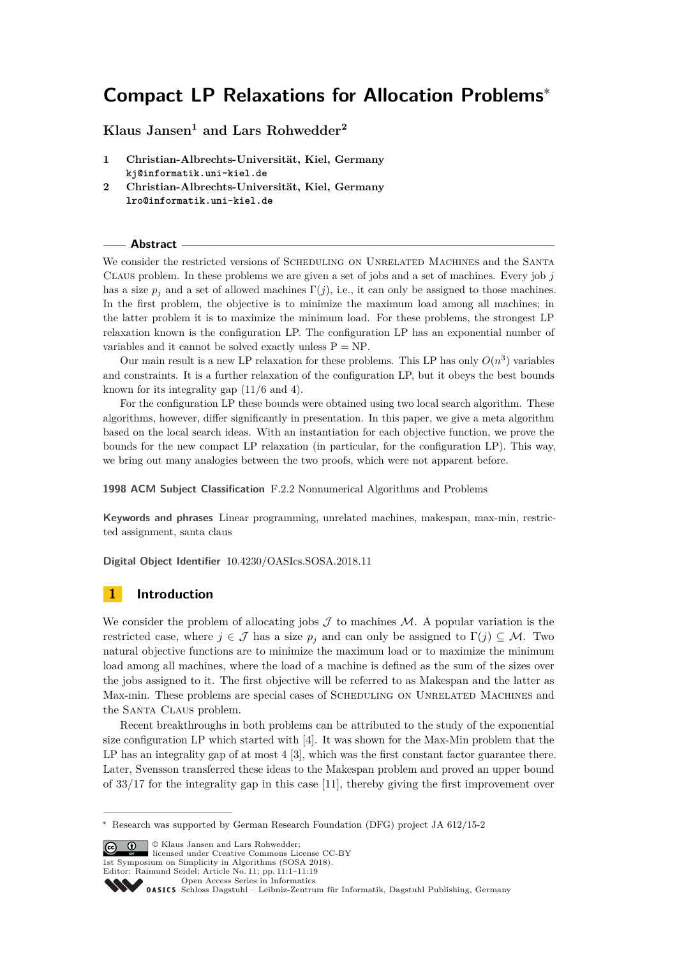# **Compact LP Relaxations for Allocation Problems**<sup>∗</sup>

**Klaus Jansen<sup>1</sup> and Lars Rohwedder<sup>2</sup>**

- **1 Christian-Albrechts-Universität, Kiel, Germany kj@informatik.uni-kiel.de**
- **2 Christian-Albrechts-Universität, Kiel, Germany lro@informatik.uni-kiel.de**

### **Abstract**

We consider the restricted versions of SCHEDULING ON UNRELATED MACHINES and the SANTA Claus problem. In these problems we are given a set of jobs and a set of machines. Every job *j* has a size  $p_j$  and a set of allowed machines  $\Gamma(j)$ , i.e., it can only be assigned to those machines. In the first problem, the objective is to minimize the maximum load among all machines; in the latter problem it is to maximize the minimum load. For these problems, the strongest LP relaxation known is the configuration LP. The configuration LP has an exponential number of variables and it cannot be solved exactly unless  $P = NP$ .

Our main result is a new LP relaxation for these problems. This LP has only  $O(n^3)$  variables and constraints. It is a further relaxation of the configuration LP, but it obeys the best bounds known for its integrality gap (11*/*6 and 4).

For the configuration LP these bounds were obtained using two local search algorithm. These algorithms, however, differ significantly in presentation. In this paper, we give a meta algorithm based on the local search ideas. With an instantiation for each objective function, we prove the bounds for the new compact LP relaxation (in particular, for the configuration LP). This way, we bring out many analogies between the two proofs, which were not apparent before.

**1998 ACM Subject Classification** F.2.2 Nonnumerical Algorithms and Problems

**Keywords and phrases** Linear programming, unrelated machines, makespan, max-min, restricted assignment, santa claus

**Digital Object Identifier** [10.4230/OASIcs.SOSA.2018.11](http://dx.doi.org/10.4230/OASIcs.SOSA.2018.11)

# **1 Introduction**

We consider the problem of allocating jobs  $\mathcal J$  to machines  $\mathcal M$ . A popular variation is the restricted case, where  $j \in \mathcal{J}$  has a size  $p_j$  and can only be assigned to  $\Gamma(j) \subseteq \mathcal{M}$ . Two natural objective functions are to minimize the maximum load or to maximize the minimum load among all machines, where the load of a machine is defined as the sum of the sizes over the jobs assigned to it. The first objective will be referred to as Makespan and the latter as Max-min. These problems are special cases of SCHEDULING ON UNRELATED MACHINES and the SANTA CLAUS problem.

Recent breakthroughs in both problems can be attributed to the study of the exponential size configuration LP which started with [\[4\]](#page-13-0). It was shown for the Max-Min problem that the LP has an integrality gap of at most 4 [\[3\]](#page-13-1), which was the first constant factor guarantee there. Later, Svensson transferred these ideas to the Makespan problem and proved an upper bound of 33*/*17 for the integrality gap in this case [\[11\]](#page-13-2), thereby giving the first improvement over

**C 1**  $\circ$  Klaus Jansen and Lars Rohwedder: licensed under Creative Commons License CC-BY 1st Symposium on Simplicity in Algorithms (SOSA 2018). Editor: Raimund Seidel; Article No. 11; pp. 11:1–11[:19](#page-18-0) [Open Access Series in Informatics](http://www.dagstuhl.de/oasics/) [Schloss Dagstuhl – Leibniz-Zentrum für Informatik, Dagstuhl Publishing, Germany](http://www.dagstuhl.de)

<sup>∗</sup> Research was supported by German Research Foundation (DFG) project JA 612/15-2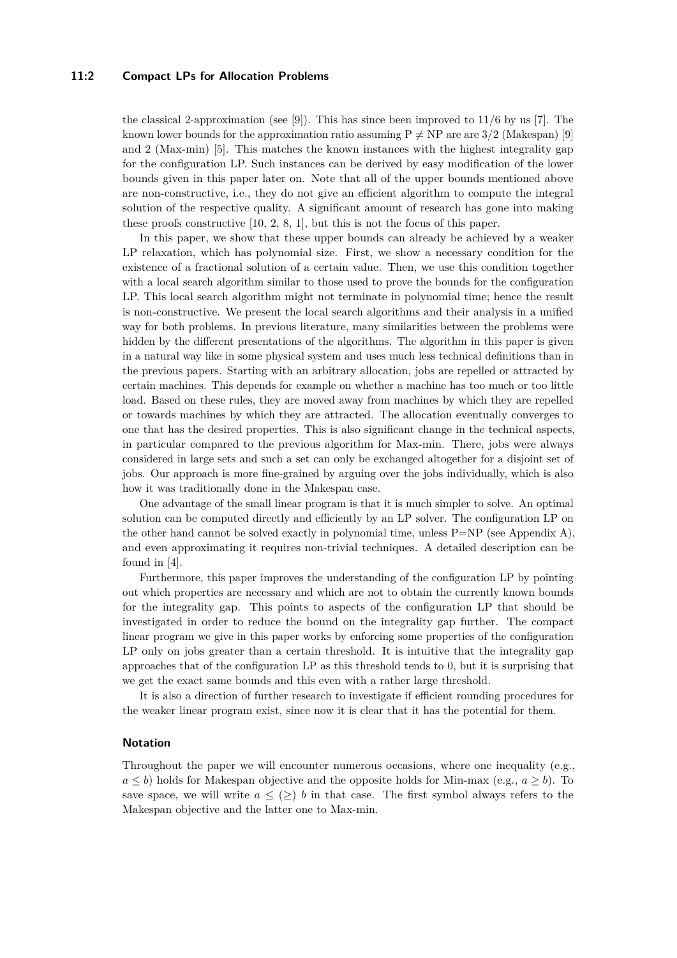### **11:2 Compact LPs for Allocation Problems**

the classical 2-approximation (see [\[9\]](#page-13-3)). This has since been improved to 11*/*6 by us [\[7\]](#page-13-4). The known lower bounds for the approximation ratio assuming  $P \neq NP$  are are 3/2 (Makespan) [\[9\]](#page-13-3) and 2 (Max-min) [\[5\]](#page-13-5). This matches the known instances with the highest integrality gap for the configuration LP. Such instances can be derived by easy modification of the lower bounds given in this paper later on. Note that all of the upper bounds mentioned above are non-constructive, i.e., they do not give an efficient algorithm to compute the integral solution of the respective quality. A significant amount of research has gone into making these proofs constructive [\[10,](#page-13-6) [2,](#page-13-7) [8,](#page-13-8) [1\]](#page-13-9), but this is not the focus of this paper.

In this paper, we show that these upper bounds can already be achieved by a weaker LP relaxation, which has polynomial size. First, we show a necessary condition for the existence of a fractional solution of a certain value. Then, we use this condition together with a local search algorithm similar to those used to prove the bounds for the configuration LP. This local search algorithm might not terminate in polynomial time; hence the result is non-constructive. We present the local search algorithms and their analysis in a unified way for both problems. In previous literature, many similarities between the problems were hidden by the different presentations of the algorithms. The algorithm in this paper is given in a natural way like in some physical system and uses much less technical definitions than in the previous papers. Starting with an arbitrary allocation, jobs are repelled or attracted by certain machines. This depends for example on whether a machine has too much or too little load. Based on these rules, they are moved away from machines by which they are repelled or towards machines by which they are attracted. The allocation eventually converges to one that has the desired properties. This is also significant change in the technical aspects, in particular compared to the previous algorithm for Max-min. There, jobs were always considered in large sets and such a set can only be exchanged altogether for a disjoint set of jobs. Our approach is more fine-grained by arguing over the jobs individually, which is also how it was traditionally done in the Makespan case.

One advantage of the small linear program is that it is much simpler to solve. An optimal solution can be computed directly and efficiently by an LP solver. The configuration LP on the other hand cannot be solved exactly in polynomial time, unless  $P=NP$  (see Appendix [A\)](#page-13-10), and even approximating it requires non-trivial techniques. A detailed description can be found in [\[4\]](#page-13-0).

Furthermore, this paper improves the understanding of the configuration LP by pointing out which properties are necessary and which are not to obtain the currently known bounds for the integrality gap. This points to aspects of the configuration LP that should be investigated in order to reduce the bound on the integrality gap further. The compact linear program we give in this paper works by enforcing some properties of the configuration LP only on jobs greater than a certain threshold. It is intuitive that the integrality gap approaches that of the configuration LP as this threshold tends to 0, but it is surprising that we get the exact same bounds and this even with a rather large threshold.

It is also a direction of further research to investigate if efficient rounding procedures for the weaker linear program exist, since now it is clear that it has the potential for them.

### **Notation**

Throughout the paper we will encounter numerous occasions, where one inequality (e.g.,  $a \leq b$ ) holds for Makespan objective and the opposite holds for Min-max (e.g.,  $a \geq b$ ). To save space, we will write  $a \leq (>) b$  in that case. The first symbol always refers to the Makespan objective and the latter one to Max-min.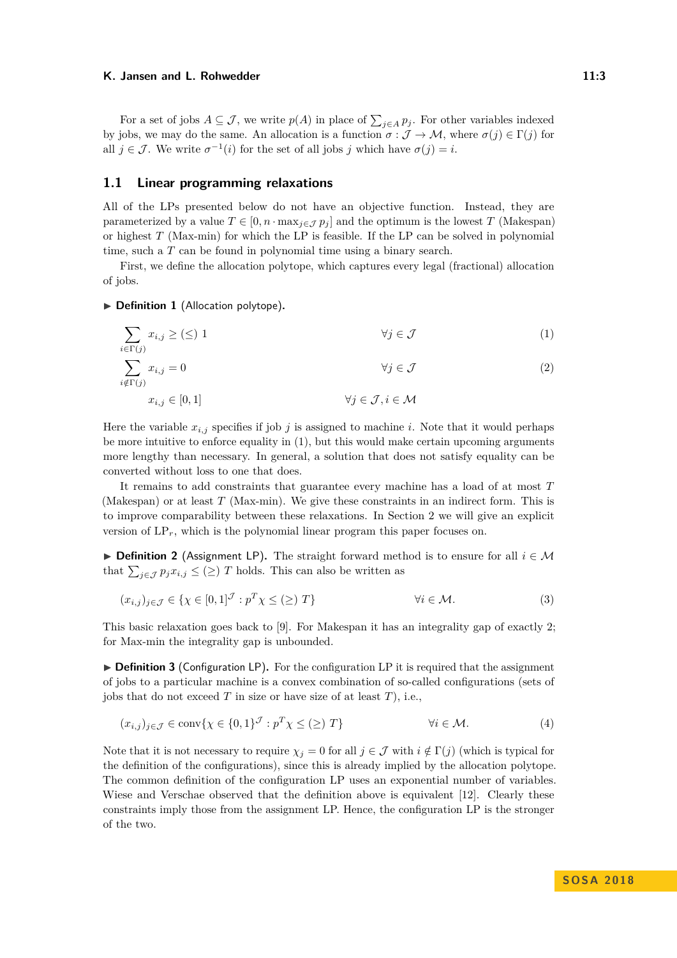For a set of jobs  $A \subseteq \mathcal{J}$ , we write  $p(A)$  in place of  $\sum_{j \in A} p_j$ . For other variables indexed by jobs, we may do the same. An allocation is a function  $\sigma : \mathcal{J} \to \mathcal{M}$ , where  $\sigma(j) \in \Gamma(j)$  for all  $j \in \mathcal{J}$ . We write  $\sigma^{-1}(i)$  for the set of all jobs *j* which have  $\sigma(j) = i$ .

### **1.1 Linear programming relaxations**

All of the LPs presented below do not have an objective function. Instead, they are parameterized by a value  $T \in [0, n \cdot \max_{j \in \mathcal{J}} p_j]$  and the optimum is the lowest *T* (Makespan) or highest *T* (Max-min) for which the LP is feasible. If the LP can be solved in polynomial time, such a *T* can be found in polynomial time using a binary search.

First, we define the allocation polytope, which captures every legal (fractional) allocation of jobs.

### ▶ **Definition 1** (Allocation polytope).

$$
\sum_{i \in \Gamma(j)} x_{i,j} \ge (\le) 1 \qquad \qquad \forall j \in \mathcal{J} \tag{1}
$$

$$
\sum_{i \notin \Gamma(j)} x_{i,j} = 0 \qquad \qquad \forall j \in \mathcal{J} \tag{2}
$$

<span id="page-2-0"></span>
$$
x_{i,j} \in [0,1]
$$

$$
\forall j \in \mathcal{J}, i \in \mathcal{M}
$$

Here the variable  $x_{i,j}$  specifies if job *j* is assigned to machine *i*. Note that it would perhaps be more intuitive to enforce equality in [\(1\)](#page-2-0), but this would make certain upcoming arguments more lengthy than necessary. In general, a solution that does not satisfy equality can be converted without loss to one that does.

It remains to add constraints that guarantee every machine has a load of at most *T* (Makespan) or at least *T* (Max-min). We give these constraints in an indirect form. This is to improve comparability between these relaxations. In Section [2](#page-4-0) we will give an explicit version of  $LP_r$ , which is the polynomial linear program this paper focuses on.

**► Definition 2** (Assignment LP). The straight forward method is to ensure for all  $i \in M$ that  $\sum_{j \in \mathcal{J}} p_j x_{i,j} \leq (\geq)$  *T* holds. This can also be written as

$$
(x_{i,j})_{j \in \mathcal{J}} \in \{ \chi \in [0,1]^{\mathcal{J}} : p^T \chi \le (\ge) T \} \qquad \forall i \in \mathcal{M}.
$$
 (3)

This basic relaxation goes back to [\[9\]](#page-13-3). For Makespan it has an integrality gap of exactly 2; for Max-min the integrality gap is unbounded.

▶ **Definition 3** (Configuration LP). For the configuration LP it is required that the assignment of jobs to a particular machine is a convex combination of so-called configurations (sets of jobs that do not exceed *T* in size or have size of at least *T*), i.e.,

$$
(x_{i,j})_{j \in \mathcal{J}} \in \text{conv}\{\chi \in \{0,1\}^{\mathcal{J}} : p^T \chi \le (\ge) T\} \qquad \forall i \in \mathcal{M}.
$$
 (4)

Note that it is not necessary to require  $\chi_j = 0$  for all  $j \in \mathcal{J}$  with  $i \notin \Gamma(j)$  (which is typical for the definition of the configurations), since this is already implied by the allocation polytope. The common definition of the configuration LP uses an exponential number of variables. Wiese and Verschae observed that the definition above is equivalent [\[12\]](#page-13-11). Clearly these constraints imply those from the assignment LP. Hence, the configuration LP is the stronger of the two.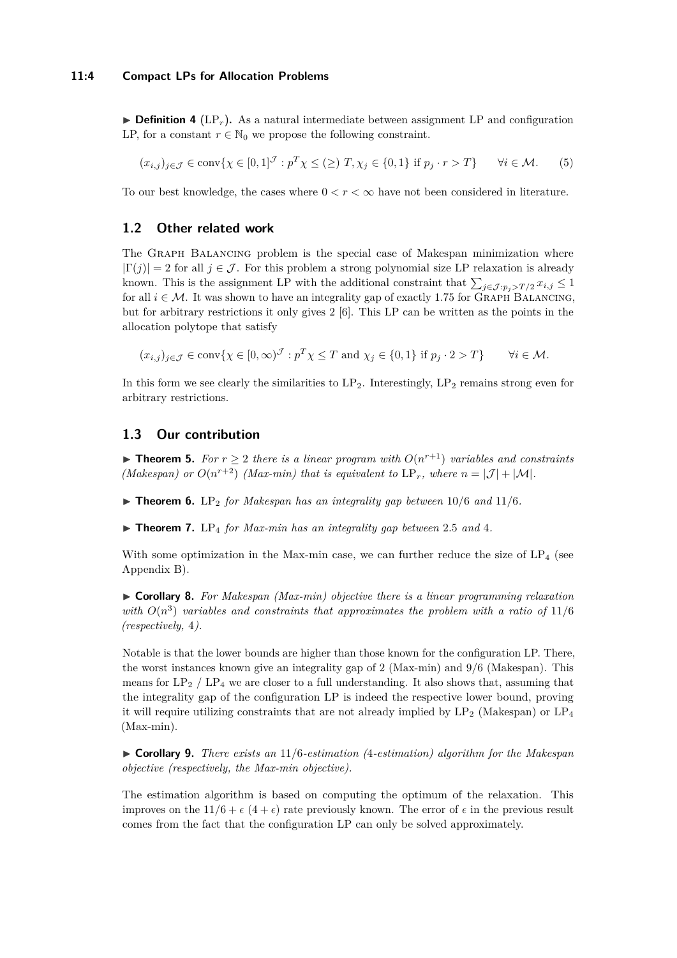$\triangleright$  **Definition 4** (LP<sub>r</sub>). As a natural intermediate between assignment LP and configuration LP, for a constant  $r \in \mathbb{N}_0$  we propose the following constraint.

$$
(x_{i,j})_{j \in \mathcal{J}} \in \text{conv}\{\chi \in [0,1]^{\mathcal{J}} : p^T \chi \leq (\geq) T, \chi_j \in \{0,1\} \text{ if } p_j \cdot r > T\} \qquad \forall i \in \mathcal{M}.
$$
 (5)

To our best knowledge, the cases where  $0 < r < \infty$  have not been considered in literature.

### **1.2 Other related work**

The Graph Balancing problem is the special case of Makespan minimization where  $|\Gamma(j)| = 2$  for all  $j \in \mathcal{J}$ . For this problem a strong polynomial size LP relaxation is already known. This is the assignment LP with the additional constraint that  $\sum_{j \in J : p_j > T/2} x_{i,j} \leq 1$ for all  $i \in \mathcal{M}$ . It was shown to have an integrality gap of exactly 1.75 for GRAPH BALANCING, but for arbitrary restrictions it only gives 2 [\[6\]](#page-13-12). This LP can be written as the points in the allocation polytope that satisfy

$$
(x_{i,j})_{j \in \mathcal{J}} \in \operatorname{conv} \{ \chi \in [0, \infty)^{\mathcal{J}} : p^T \chi \le T \text{ and } \chi_j \in \{0, 1\} \text{ if } p_j \cdot 2 > T \} \qquad \forall i \in \mathcal{M}.
$$

In this form we see clearly the similarities to  $LP_2$ . Interestingly,  $LP_2$  remains strong even for arbitrary restrictions.

### **1.3 Our contribution**

▶ **Theorem 5.** *For*  $r \geq 2$  *there is a linear program with*  $O(n^{r+1})$  *variables and constraints (Makespan) or*  $O(n^{r+2})$  *(Max-min) that is equivalent to*  $LP_r$ *, where*  $n = |\mathcal{J}| + |\mathcal{M}|$ *.* 

 $\triangleright$  **Theorem 6.** LP<sub>2</sub> for Makespan has an integrality gap between 10/6 and 11/6.

 $\triangleright$  **Theorem 7.** LP<sub>4</sub> for Max-min has an integrality gap between 2.5 and 4.

With some optimization in the Max-min case, we can further reduce the size of  $LP_4$  (see Appendix [B\)](#page-14-0).

I **Corollary 8.** *For Makespan (Max-min) objective there is a linear programming relaxation* with  $O(n^3)$  variables and constraints that approximates the problem with a ratio of 11/6 *(respectively,* 4*).*

Notable is that the lower bounds are higher than those known for the configuration LP. There, the worst instances known give an integrality gap of 2 (Max-min) and 9*/*6 (Makespan). This means for  $LP_2$  /  $LP_4$  we are closer to a full understanding. It also shows that, assuming that the integrality gap of the configuration LP is indeed the respective lower bound, proving it will require utilizing constraints that are not already implied by  $LP_2$  (Makespan) or  $LP_4$ (Max-min).

I **Corollary 9.** *There exists an* 11*/*6*-estimation (*4*-estimation) algorithm for the Makespan objective (respectively, the Max-min objective).*

The estimation algorithm is based on computing the optimum of the relaxation. This improves on the  $11/6 + \epsilon (4 + \epsilon)$  rate previously known. The error of  $\epsilon$  in the previous result comes from the fact that the configuration LP can only be solved approximately.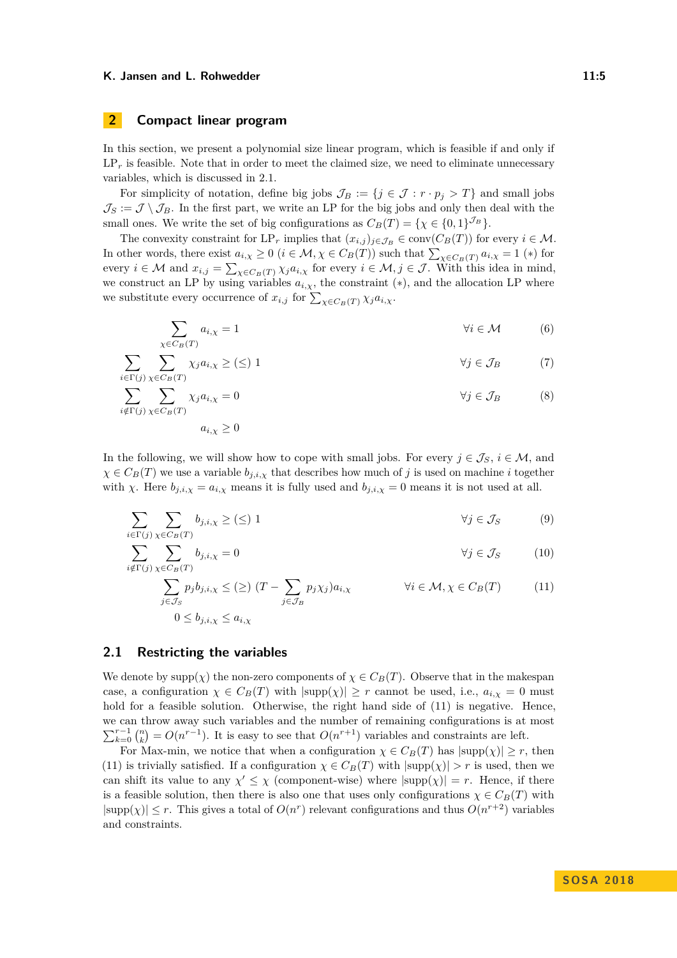# <span id="page-4-0"></span>**2 Compact linear program**

In this section, we present a polynomial size linear program, which is feasible if and only if  $LP<sub>r</sub>$  is feasible. Note that in order to meet the claimed size, we need to eliminate unnecessary variables, which is discussed in [2.1.](#page-4-1)

For simplicity of notation, define big jobs  $\mathcal{J}_B := \{j \in \mathcal{J} : r \cdot p_j > T\}$  and small jobs  $\mathcal{J}_S := \mathcal{J} \setminus \mathcal{J}_B$ . In the first part, we write an LP for the big jobs and only then deal with the small ones. We write the set of big configurations as  $C_B(T) = \{ \chi \in \{0,1\}^{\mathcal{J}_B} \}.$ 

The convexity constraint for  $LP_r$  implies that  $(x_{i,j})_{j\in\mathcal{J}_B} \in \text{conv}(C_B(T))$  for every  $i \in \mathcal{M}$ . In other words, there exist  $a_{i,\chi} \geq 0$  ( $i \in \mathcal{M}, \chi \in C_B(T)$ ) such that  $\sum_{\chi \in C_B(T)} a_{i,\chi} = 1$  (\*) for every  $i \in \mathcal{M}$  and  $x_{i,j} = \sum_{\chi \in C_B(T)} \chi_j a_{i,\chi}$  for every  $i \in \mathcal{M}, j \in \mathcal{J}$ . With this idea in mind, we construct an LP by using variables  $a_{i,x}$ , the constraint  $(*)$ , and the allocation LP where we substitute every occurrence of  $x_{i,j}$  for  $\sum_{\chi \in C_B(T)} \chi_j a_{i,\chi}$ .

$$
\sum_{\chi \in C_B(T)} a_{i,\chi} = 1 \tag{6}
$$

$$
\sum_{i \in \Gamma(j)} \sum_{\chi \in C_B(T)} \chi_j a_{i,\chi} \geq (\leq) 1 \qquad \forall j \in \mathcal{J}_B \tag{7}
$$

$$
\sum_{i \notin \Gamma(j)} \sum_{\chi \in C_B(T)} \chi_j a_{i,\chi} = 0 \qquad \forall j \in \mathcal{J}_B \qquad (8)
$$

<span id="page-4-2"></span>
$$
a_{i,\chi}\geq 0
$$

In the following, we will show how to cope with small jobs. For every  $j \in \mathcal{J}_S$ ,  $i \in \mathcal{M}$ , and  $\chi \in C_B(T)$  we use a variable  $b_{j,i,\chi}$  that describes how much of *j* is used on machine *i* together with *χ*. Here  $b_{j,i,\chi} = a_{i,\chi}$  means it is fully used and  $b_{j,i,\chi} = 0$  means it is not used at all.

$$
\sum_{i \in \Gamma(j)} \sum_{\chi \in C_B(T)} b_{j,i,\chi} \geq (\leq) 1 \qquad \forall j \in \mathcal{J}_S \tag{9}
$$

$$
\sum_{i \notin \Gamma(j)} \sum_{\chi \in C_B(T)} b_{j,i,\chi} = 0 \qquad \forall j \in \mathcal{J}_S \tag{10}
$$

$$
\sum_{j \in \mathcal{J}_S} p_j b_{j,i,\chi} \leq (\geq) (T - \sum_{j \in \mathcal{J}_B} p_j \chi_j) a_{i,\chi} \qquad \forall i \in \mathcal{M}, \chi \in C_B(T) \qquad (11)
$$
  

$$
0 \leq b_{j,i,\chi} \leq a_{i,\chi}
$$

# <span id="page-4-1"></span>**2.1 Restricting the variables**

We denote by  $\text{supp}(\chi)$  the non-zero components of  $\chi \in C_B(T)$ . Observe that in the makespan case, a configuration  $\chi \in C_B(T)$  with  $|\text{supp}(\chi)| \geq r$  cannot be used, i.e.,  $a_{i,\chi} = 0$  must hold for a feasible solution. Otherwise, the right hand side of [\(11\)](#page-4-2) is negative. Hence, we can throw away such variables and the number of remaining configurations is at most  $\sum_{k=0}^{r-1} {n \choose k} = O(n^{r-1})$ . It is easy to see that  $O(n^{r+1})$  variables and constraints are left.

For Max-min, we notice that when a configuration  $\chi \in C_B(T)$  has  $|\text{supp}(\chi)| \geq r$ , then [\(11\)](#page-4-2) is trivially satisfied. If a configuration  $\chi \in C_B(T)$  with  $|\text{supp}(\chi)| > r$  is used, then we can shift its value to any  $\chi' \leq \chi$  (component-wise) where  $|\text{supp}(\chi)| = r$ . Hence, if there is a feasible solution, then there is also one that uses only configurations  $\chi \in C_B(T)$  with  $|\text{supp}(\chi)| \leq r$ . This gives a total of  $O(n^r)$  relevant configurations and thus  $O(n^{r+2})$  variables and constraints.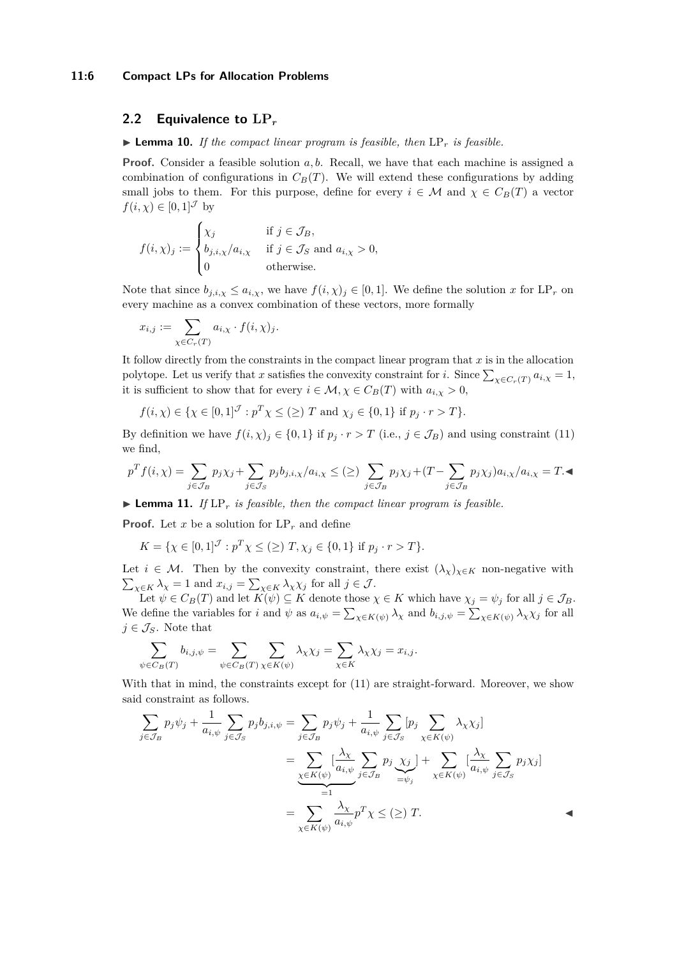#### **11:6 Compact LPs for Allocation Problems**

### **2.2 Equivalence to LP***<sup>r</sup>*

 $\blacktriangleright$  **Lemma 10.** *If the compact linear program is feasible, then*  $\text{LP}_r$  *is feasible.* 

**Proof.** Consider a feasible solution a, b. Recall, we have that each machine is assigned a combination of configurations in  $C_B(T)$ . We will extend these configurations by adding small jobs to them. For this purpose, define for every  $i \in \mathcal{M}$  and  $\chi \in C_B(T)$  a vector  $f(i, \chi) \in [0, 1]^{\mathcal{J}}$  by

$$
f(i,\chi)_j := \begin{cases} \chi_j & \text{if } j \in \mathcal{J}_B, \\ b_{j,i,\chi}/a_{i,\chi} & \text{if } j \in \mathcal{J}_S \text{ and } a_{i,\chi} > 0, \\ 0 & \text{otherwise.} \end{cases}
$$

Note that since  $b_{j,i,\chi} \leq a_{i,\chi}$ , we have  $f(i,\chi)_j \in [0,1]$ . We define the solution *x* for LP<sub>*r*</sub> on every machine as a convex combination of these vectors, more formally

$$
x_{i,j}:=\sum_{\chi\in C_r(T)}a_{i,\chi}\cdot f(i,\chi)_j.
$$

It follow directly from the constraints in the compact linear program that *x* is in the allocation polytope. Let us verify that *x* satisfies the convexity constraint for *i*. Since  $\sum_{\chi \in C_r(T)} a_{i,\chi} = 1$ , it is sufficient to show that for every  $i \in \mathcal{M}, \chi \in C_B(T)$  with  $a_{i,\chi} > 0$ ,

$$
f(i, \chi) \in {\chi \in [0, 1]^{\mathcal{J}} : p^T \chi \leq (\geq) T \text{ and } \chi_j \in \{0, 1\} \text{ if } p_j \cdot r > T}.
$$

By definition we have  $f(i, \chi)_j \in \{0, 1\}$  if  $p_j \cdot r > T$  (i.e.,  $j \in \mathcal{J}_B$ ) and using constraint [\(11\)](#page-4-2) we find,

$$
p^T f(i, \chi) = \sum_{j \in \mathcal{J}_B} p_j \chi_j + \sum_{j \in \mathcal{J}_S} p_j b_{j, i, \chi} / a_{i, \chi} \le (\ge) \sum_{j \in \mathcal{J}_B} p_j \chi_j + (T - \sum_{j \in \mathcal{J}_B} p_j \chi_j) a_{i, \chi} / a_{i, \chi} = T. \blacktriangleleft
$$

 $\blacktriangleright$  **Lemma 11.** *If* LP<sub>r</sub> *is feasible, then the compact linear program is feasible.* 

**Proof.** Let *x* be a solution for  $LP<sub>r</sub>$  and define

$$
K = \{ \chi \in [0,1]^{J} : p^{T} \chi \leq (\geq) T, \chi_{j} \in \{0,1\} \text{ if } p_{j} \cdot r > T \}.
$$

Let  $i \in \mathcal{M}$ . Then by the convexity constraint, there exist  $(\lambda_{\chi})_{\chi \in K}$  non-negative with  $\sum_{\chi \in K} \lambda_{\chi} = 1$  and  $x_{i,j} = \sum_{\chi \in K} \lambda_{\chi} \chi_j$  for all  $j \in J$ .

Let  $\psi \in C_B(T)$  and let  $K(\psi) \subseteq K$  denote those  $\chi \in K$  which have  $\chi_j = \psi_j$  for all  $j \in \mathcal{J}_B$ . We define the variables for *i* and  $\psi$  as  $a_{i,\psi} = \sum_{\chi \in K(\psi)} \lambda_{\chi}$  and  $b_{i,j,\psi} = \sum_{\chi \in K(\psi)} \lambda_{\chi} \chi_j$  for all  $j \in \mathcal{J}_S$ . Note that

$$
\sum_{\psi \in C_B(T)} b_{i,j,\psi} = \sum_{\psi \in C_B(T)} \sum_{\chi \in K(\psi)} \lambda_{\chi} \chi_j = \sum_{\chi \in K} \lambda_{\chi} \chi_j = x_{i,j}.
$$

With that in mind, the constraints except for  $(11)$  are straight-forward. Moreover, we show said constraint as follows.

$$
\sum_{j \in \mathcal{J}_B} p_j \psi_j + \frac{1}{a_{i,\psi}} \sum_{j \in \mathcal{J}_S} p_j b_{j,i,\psi} = \sum_{j \in \mathcal{J}_B} p_j \psi_j + \frac{1}{a_{i,\psi}} \sum_{j \in \mathcal{J}_S} [p_j \sum_{\chi \in K(\psi)} \lambda_{\chi} \chi_j]
$$
  

$$
= \sum_{\chi \in K(\psi)} \left[ \frac{\lambda_{\chi}}{a_{i,\psi}} \sum_{j \in \mathcal{J}_B} p_j \underbrace{\chi_j}_{= \psi_j} \right] + \sum_{\chi \in K(\psi)} \left[ \frac{\lambda_{\chi}}{a_{i,\psi}} \sum_{j \in \mathcal{J}_S} p_j \chi_j \right]
$$
  

$$
= \sum_{\chi \in K(\psi)} \frac{\lambda_{\chi}}{a_{i,\psi}} p^T \chi \leq (\geq) T.
$$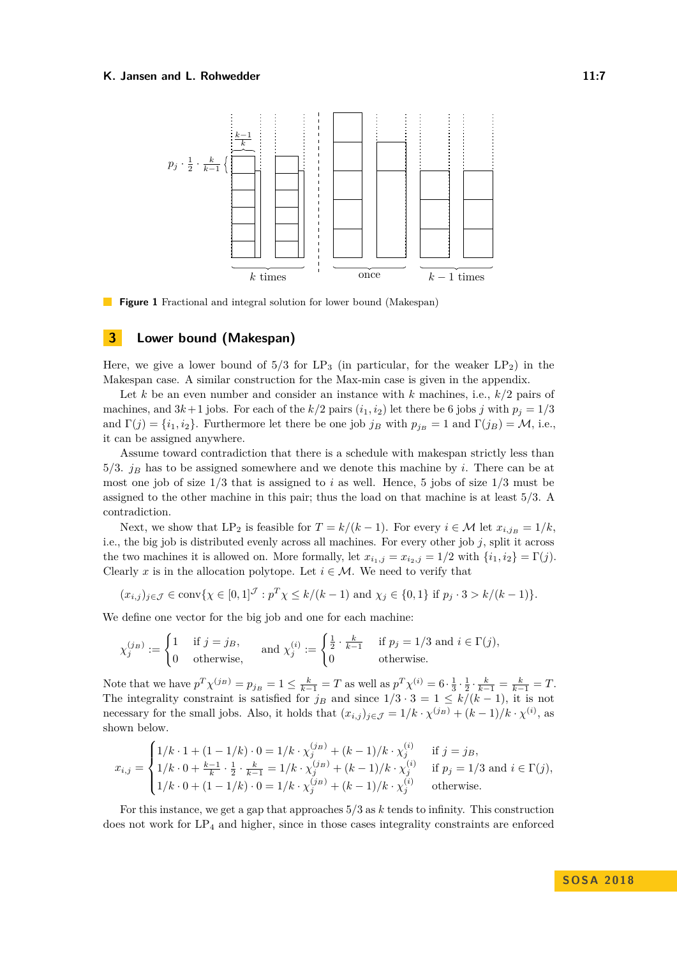

**Figure 1** Fractional and integral solution for lower bound (Makespan)

### **3 Lower bound (Makespan)**

Here, we give a lower bound of  $5/3$  for  $LP_3$  (in particular, for the weaker  $LP_2$ ) in the Makespan case. A similar construction for the Max-min case is given in the appendix.

Let *k* be an even number and consider an instance with *k* machines, i.e., *k/*2 pairs of machines, and  $3k+1$  jobs. For each of the  $k/2$  pairs  $(i_1, i_2)$  let there be 6 jobs *j* with  $p_j = 1/3$ and  $\Gamma(j) = \{i_1, i_2\}$ . Furthermore let there be one job  $j_B$  with  $p_{j_B} = 1$  and  $\Gamma(j_B) = M$ , i.e., it can be assigned anywhere.

Assume toward contradiction that there is a schedule with makespan strictly less than 5*/*3. *j<sup>B</sup>* has to be assigned somewhere and we denote this machine by *i*. There can be at most one job of size  $1/3$  that is assigned to *i* as well. Hence, 5 jobs of size  $1/3$  must be assigned to the other machine in this pair; thus the load on that machine is at least 5*/*3. A contradiction.

Next, we show that LP<sub>2</sub> is feasible for  $T = k/(k-1)$ . For every  $i \in \mathcal{M}$  let  $x_{i,j_B} = 1/k$ , i.e., the big job is distributed evenly across all machines. For every other job *j*, split it across the two machines it is allowed on. More formally, let  $x_{i_1,j} = x_{i_2,j} = 1/2$  with  $\{i_1, i_2\} = \Gamma(j)$ . Clearly x is in the allocation polytope. Let  $i \in \mathcal{M}$ . We need to verify that

$$
(x_{i,j})_{j \in \mathcal{J}} \in \text{conv}\{\chi \in [0,1]^{\mathcal{J}} : p^T \chi \le k/(k-1) \text{ and } \chi_j \in \{0,1\} \text{ if } p_j \cdot 3 > k/(k-1)\}.
$$

We define one vector for the big job and one for each machine:

$$
\chi_j^{(j_B)} := \begin{cases} 1 & \text{if } j = j_B, \\ 0 & \text{otherwise,} \end{cases} \quad \text{and } \chi_j^{(i)} := \begin{cases} \frac{1}{2} \cdot \frac{k}{k-1} & \text{if } p_j = 1/3 \text{ and } i \in \Gamma(j), \\ 0 & \text{otherwise.} \end{cases}
$$

Note that we have  $p^T \chi^{(j_B)} = p_{j_B} = 1 \le \frac{k}{k-1} = T$  as well as  $p^T \chi^{(i)} = 6 \cdot \frac{1}{3} \cdot \frac{1}{2} \cdot \frac{k}{k-1} = \frac{k}{k-1} = T$ . The integrality constraint is satisfied for  $j_B$  and since  $1/3 \cdot 3 = 1 \le k/(k-1)$ , it is not necessary for the small jobs. Also, it holds that  $(x_{i,j})_{j\in\mathcal{J}} = 1/k \cdot \chi^{(j_B)} + (k-1)/k \cdot \chi^{(i)}$ , as shown below.

$$
x_{i,j} = \begin{cases} 1/k \cdot 1 + (1-1/k) \cdot 0 = 1/k \cdot \chi_j^{(j_B)} + (k-1)/k \cdot \chi_j^{(i)} & \text{if } j = j_B, \\ 1/k \cdot 0 + \frac{k-1}{k} \cdot \frac{1}{2} \cdot \frac{k}{k-1} = 1/k \cdot \chi_j^{(j_B)} + (k-1)/k \cdot \chi_j^{(i)} & \text{if } p_j = 1/3 \text{ and } i \in \Gamma(j), \\ 1/k \cdot 0 + (1-1/k) \cdot 0 = 1/k \cdot \chi_j^{(j_B)} + (k-1)/k \cdot \chi_j^{(i)} & \text{otherwise.} \end{cases}
$$

For this instance, we get a gap that approaches 5*/*3 as *k* tends to infinity. This construction does not work for  $LP_4$  and higher, since in those cases integrality constraints are enforced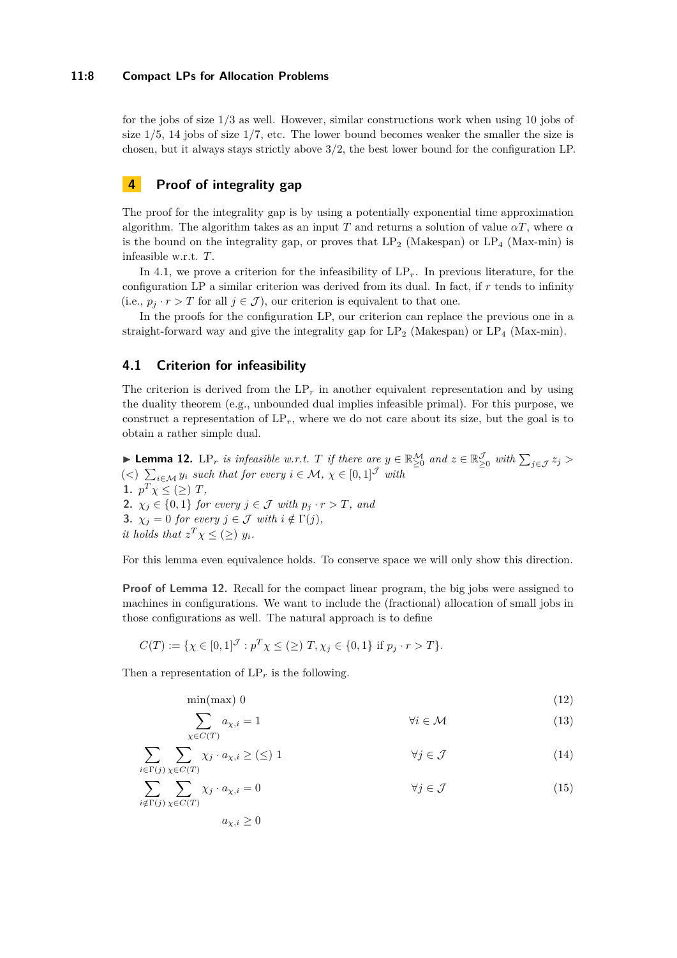### **11:8 Compact LPs for Allocation Problems**

for the jobs of size 1*/*3 as well. However, similar constructions work when using 10 jobs of size 1*/*5, 14 jobs of size 1*/*7, etc. The lower bound becomes weaker the smaller the size is chosen, but it always stays strictly above 3*/*2, the best lower bound for the configuration LP.

# **4 Proof of integrality gap**

The proof for the integrality gap is by using a potentially exponential time approximation algorithm. The algorithm takes as an input *T* and returns a solution of value *αT*, where *α* is the bound on the integrality gap, or proves that  $LP_2$  (Makespan) or  $LP_4$  (Max-min) is infeasible w.r.t. *T*.

In [4.1,](#page-7-0) we prove a criterion for the infeasibility of LP*r*. In previous literature, for the configuration LP a similar criterion was derived from its dual. In fact, if *r* tends to infinity (i.e.,  $p_j \cdot r > T$  for all  $j \in \mathcal{J}$ ), our criterion is equivalent to that one.

In the proofs for the configuration LP, our criterion can replace the previous one in a straight-forward way and give the integrality gap for  $LP_2$  (Makespan) or  $LP_4$  (Max-min).

# <span id="page-7-0"></span>**4.1 Criterion for infeasibility**

The criterion is derived from the  $LP<sub>r</sub>$  in another equivalent representation and by using the duality theorem (e.g., unbounded dual implies infeasible primal). For this purpose, we construct a representation of  $LP<sub>r</sub>$ , where we do not care about its size, but the goal is to obtain a rather simple dual.

<span id="page-7-1"></span>► Lemma 12. LP<sub>r</sub> is infeasible w.r.t. *T* if there are  $y \in \mathbb{R}_{\geq 0}^{\mathcal{M}}$  and  $z \in \mathbb{R}_{\geq 0}^{\mathcal{J}}$  with  $\sum_{j \in \mathcal{J}} z_j$  $(<)$   $\sum_{i \in \mathcal{M}} y_i$  such that for every  $i \in \mathcal{M}, \chi \in [0,1]^{\mathcal{J}}$  with **1.**  $p^T \chi \leq (\geq) T$ , **2.**  $\chi_j \in \{0,1\}$  *for every*  $j \in \mathcal{J}$  *with*  $p_j \cdot r > T$ *, and* **3.**  $\chi_j = 0$  *for every*  $j \in \mathcal{J}$  *with*  $i \notin \Gamma(j)$ *, it holds that*  $z^T \chi \leq (\geq) y_i$ *.* 

For this lemma even equivalence holds. To conserve space we will only show this direction.

**Proof of Lemma [12.](#page-7-1)** Recall for the compact linear program, the big jobs were assigned to machines in configurations. We want to include the (fractional) allocation of small jobs in those configurations as well. The natural approach is to define

$$
C(T) := \{ \chi \in [0,1]^{J} : p^{T} \chi \leq (\geq) T, \chi_{j} \in \{0,1\} \text{ if } p_{j} \cdot r > T \}.
$$

Then a representation of  $LP<sub>r</sub>$  is the following.

$$
\min(\max) \ 0 \tag{12}
$$

$$
\sum_{\chi \in C(T)} a_{\chi,i} = 1 \qquad \qquad \forall i \in \mathcal{M} \tag{13}
$$

$$
\sum_{i \in \Gamma(j)} \sum_{\chi \in C(T)} \chi_j \cdot a_{\chi,i} \geq (\leq) 1 \qquad \forall j \in \mathcal{J} \tag{14}
$$

$$
\sum_{i \notin \Gamma(j)} \sum_{\chi \in C(T)} \chi_j \cdot a_{\chi,i} = 0 \qquad \forall j \in \mathcal{J} \tag{15}
$$

<span id="page-7-2"></span> $a_{\chi,i} \geq 0$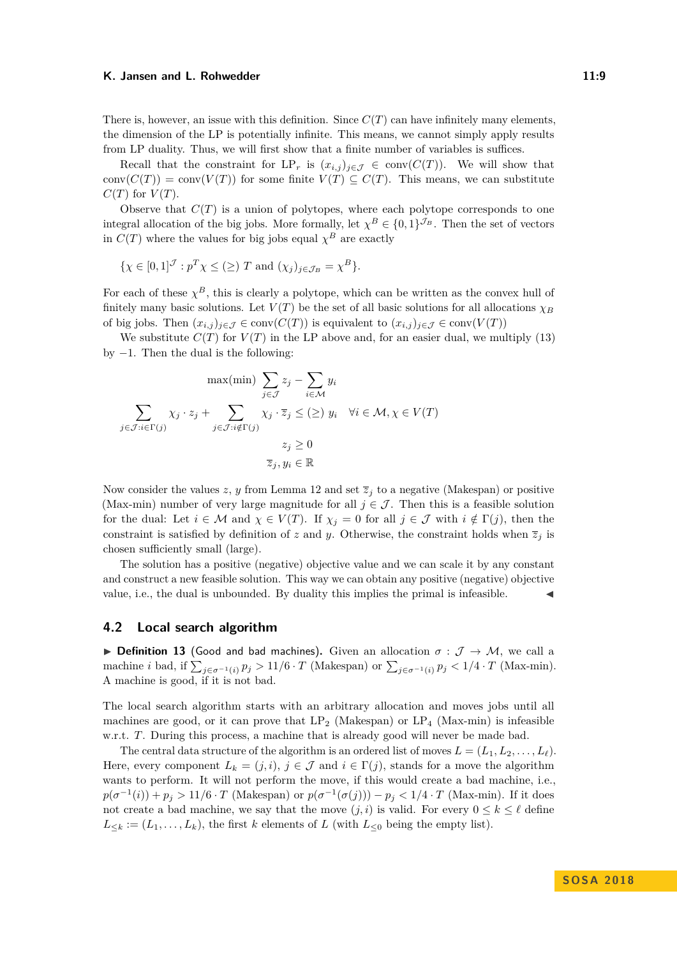#### K. Jansen and L. Rohwedder **11:9** and 11:9

There is, however, an issue with this definition. Since  $C(T)$  can have infinitely many elements, the dimension of the LP is potentially infinite. This means, we cannot simply apply results from LP duality. Thus, we will first show that a finite number of variables is suffices.

Recall that the constraint for  $LP_r$  is  $(x_{i,j})_{i \in \mathcal{J}} \in \text{conv}(C(T))$ . We will show that conv $(C(T)) = \text{conv}(V(T))$  for some finite  $V(T) \subseteq C(T)$ . This means, we can substitute  $C(T)$  for  $V(T)$ .

Observe that  $C(T)$  is a union of polytopes, where each polytope corresponds to one integral allocation of the big jobs. More formally, let  $\chi^B \in \{0,1\}^{\mathcal{J}_B}$ . Then the set of vectors in  $C(T)$  where the values for big jobs equal  $\chi^B$  are exactly

$$
\{\chi \in [0,1]^{\mathcal{J}} : p^T \chi \leq (\geq) T \text{ and } (\chi_j)_{j \in \mathcal{J}_B} = \chi^B \}.
$$

For each of these  $\chi^B$ , this is clearly a polytope, which can be written as the convex hull of finitely many basic solutions. Let  $V(T)$  be the set of all basic solutions for all allocations  $\chi_B$ of big jobs. Then  $(x_{i,j})_{j\in\mathcal{J}} \in \text{conv}(C(T))$  is equivalent to  $(x_{i,j})_{j\in\mathcal{J}} \in \text{conv}(V(T))$ 

We substitute  $C(T)$  for  $V(T)$  in the LP above and, for an easier dual, we multiply [\(13\)](#page-7-2) by  $-1$ . Then the dual is the following:

$$
\max(\min) \sum_{j \in \mathcal{J}} z_j - \sum_{i \in \mathcal{M}} y_i
$$

$$
\sum_{j \in \mathcal{J}: i \in \Gamma(j)} \chi_j \cdot z_j + \sum_{j \in \mathcal{J}: i \notin \Gamma(j)} \chi_j \cdot \overline{z}_j \leq (\geq) y_i \quad \forall i \in \mathcal{M}, \chi \in V(T)
$$

$$
z_j \geq 0
$$

$$
\overline{z}_j, y_i \in \mathbb{R}
$$

Now consider the values  $z$ ,  $y$  from Lemma [12](#page-7-1) and set  $\overline{z}_j$  to a negative (Makespan) or positive (Max-min) number of very large magnitude for all  $j \in \mathcal{J}$ . Then this is a feasible solution for the dual: Let  $i \in \mathcal{M}$  and  $\chi \in V(T)$ . If  $\chi_j = 0$  for all  $j \in \mathcal{J}$  with  $i \notin \Gamma(j)$ , then the constraint is satisfied by definition of *z* and *y*. Otherwise, the constraint holds when  $\overline{z}_i$  is chosen sufficiently small (large).

The solution has a positive (negative) objective value and we can scale it by any constant and construct a new feasible solution. This way we can obtain any positive (negative) objective value, i.e., the dual is unbounded. By duality this implies the primal is infeasible.

### **4.2 Local search algorithm**

**► Definition 13** (Good and bad machines). Given an allocation  $σ : J → M$ , we call a machine *i* bad, if  $\sum_{j \in \sigma^{-1}(i)} p_j > 11/6 \cdot T$  (Makespan) or  $\sum_{j \in \sigma^{-1}(i)} p_j < 1/4 \cdot T$  (Max-min). A machine is good, if it is not bad.

The local search algorithm starts with an arbitrary allocation and moves jobs until all machines are good, or it can prove that  $LP_2$  (Makespan) or  $LP_4$  (Max-min) is infeasible w.r.t. *T*. During this process, a machine that is already good will never be made bad.

The central data structure of the algorithm is an ordered list of moves  $L = (L_1, L_2, \ldots, L_\ell)$ . Here, every component  $L_k = (j, i)$ ,  $j \in \mathcal{J}$  and  $i \in \Gamma(j)$ , stands for a move the algorithm wants to perform. It will not perform the move, if this would create a bad machine, i.e.,  $p(\sigma^{-1}(i)) + p_j > 11/6 \cdot T$  (Makespan) or  $p(\sigma^{-1}(\sigma(j))) - p_j < 1/4 \cdot T$  (Max-min). If it does not create a bad machine, we say that the move  $(j, i)$  is valid. For every  $0 \leq k \leq \ell$  define  $L_{\leq k} := (L_1, \ldots, L_k)$ , the first *k* elements of *L* (with  $L_{\leq 0}$  being the empty list).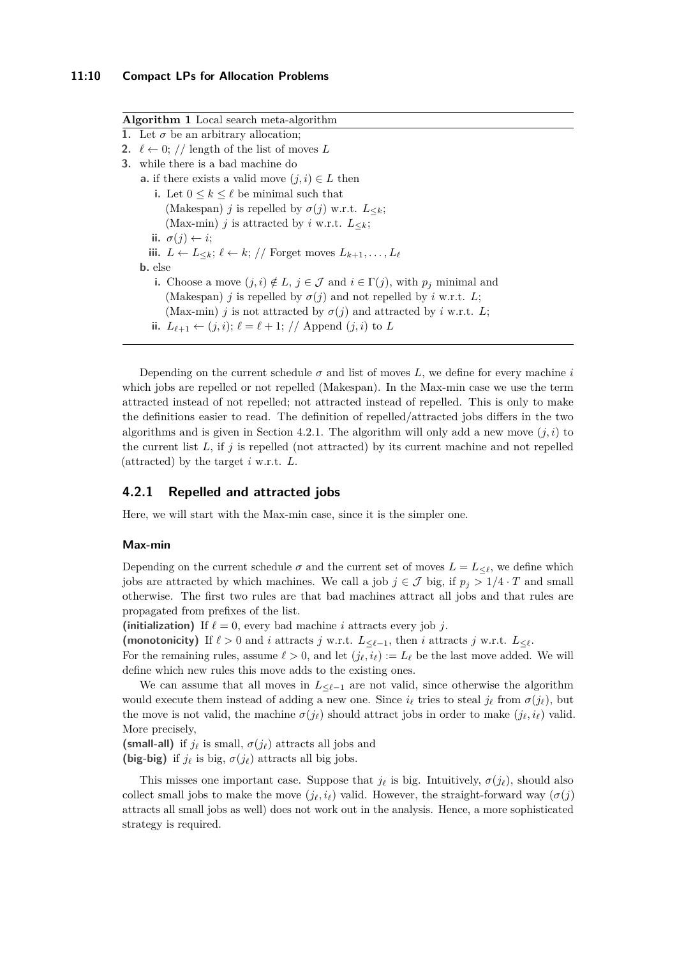| <b>Algorithm 1</b> Local search meta-algorithm |                                                                                                         |
|------------------------------------------------|---------------------------------------------------------------------------------------------------------|
|                                                | 1. Let $\sigma$ be an arbitrary allocation;                                                             |
|                                                | 2. $\ell \leftarrow 0$ ; // length of the list of moves L                                               |
|                                                | <b>3.</b> while there is a bad machine do                                                               |
|                                                | <b>a.</b> if there exists a valid move $(j, i) \in L$ then                                              |
|                                                | i. Let $0 \leq k \leq \ell$ be minimal such that                                                        |
|                                                | (Makespan) j is repelled by $\sigma(j)$ w.r.t. $L_{\leq k}$ ;                                           |
|                                                | (Max-min) j is attracted by i w.r.t. $L_{\leq k}$ ;                                                     |
|                                                | ii. $\sigma(i) \leftarrow i$ :                                                                          |
|                                                | iii. $L \leftarrow L_{\leq k}; \ell \leftarrow k; //$ Forget moves $L_{k+1}, \ldots, L_{\ell}$          |
|                                                | <b>b</b> . else                                                                                         |
|                                                | i. Choose a move $(j, i) \notin L$ , $j \in \mathcal{J}$ and $i \in \Gamma(j)$ , with $p_j$ minimal and |
|                                                | (Makespan) j is repelled by $\sigma(j)$ and not repelled by i w.r.t. L;                                 |
|                                                | (Max-min) j is not attracted by $\sigma(j)$ and attracted by i w.r.t. L;                                |
|                                                | ii. $L_{\ell+1} \leftarrow (j,i); \ell = \ell+1; //$ Append $(j,i)$ to L                                |
|                                                |                                                                                                         |

Depending on the current schedule  $\sigma$  and list of moves  $L$ , we define for every machine *i* which jobs are repelled or not repelled (Makespan). In the Max-min case we use the term attracted instead of not repelled; not attracted instead of repelled. This is only to make the definitions easier to read. The definition of repelled/attracted jobs differs in the two algorithms and is given in Section [4.2.1.](#page-9-0) The algorithm will only add a new move  $(j, i)$  to the current list *L*, if *j* is repelled (not attracted) by its current machine and not repelled (attracted) by the target *i* w.r.t. *L*.

### <span id="page-9-0"></span>**4.2.1 Repelled and attracted jobs**

Here, we will start with the Max-min case, since it is the simpler one.

### **Max-min**

Depending on the current schedule  $\sigma$  and the current set of moves  $L = L_{\leq \ell}$ , we define which jobs are attracted by which machines. We call a job  $j \in \mathcal{J}$  big, if  $p_j > 1/4 \cdot T$  and small otherwise. The first two rules are that bad machines attract all jobs and that rules are propagated from prefixes of the list.

(initialization) If  $\ell = 0$ , every bad machine *i* attracts every job *j*.

(monotonicity) If  $\ell > 0$  and *i* attracts *j* w.r.t.  $L < \ell-1$ , then *i* attracts *j* w.r.t.  $L < \ell$ .

For the remaining rules, assume  $\ell > 0$ , and let  $(j_{\ell}, i_{\ell}) := L_{\ell}$  be the last move added. We will define which new rules this move adds to the existing ones.

We can assume that all moves in  $L<sub>\ell-1</sub>$  are not valid, since otherwise the algorithm would execute them instead of adding a new one. Since  $i_\ell$  tries to steal  $j_\ell$  from  $\sigma(j_\ell)$ , but the move is not valid, the machine  $\sigma(j_\ell)$  should attract jobs in order to make  $(j_\ell, i_\ell)$  valid. More precisely,

**(small-all)** if  $j_\ell$  is small,  $\sigma(j_\ell)$  attracts all jobs and **(big-big)** if  $j_\ell$  is big,  $\sigma(j_\ell)$  attracts all big jobs.

This misses one important case. Suppose that  $j_{\ell}$  is big. Intuitively,  $\sigma(j_{\ell})$ , should also collect small jobs to make the move  $(j_\ell, i_\ell)$  valid. However, the straight-forward way  $(\sigma(i))$ attracts all small jobs as well) does not work out in the analysis. Hence, a more sophisticated strategy is required.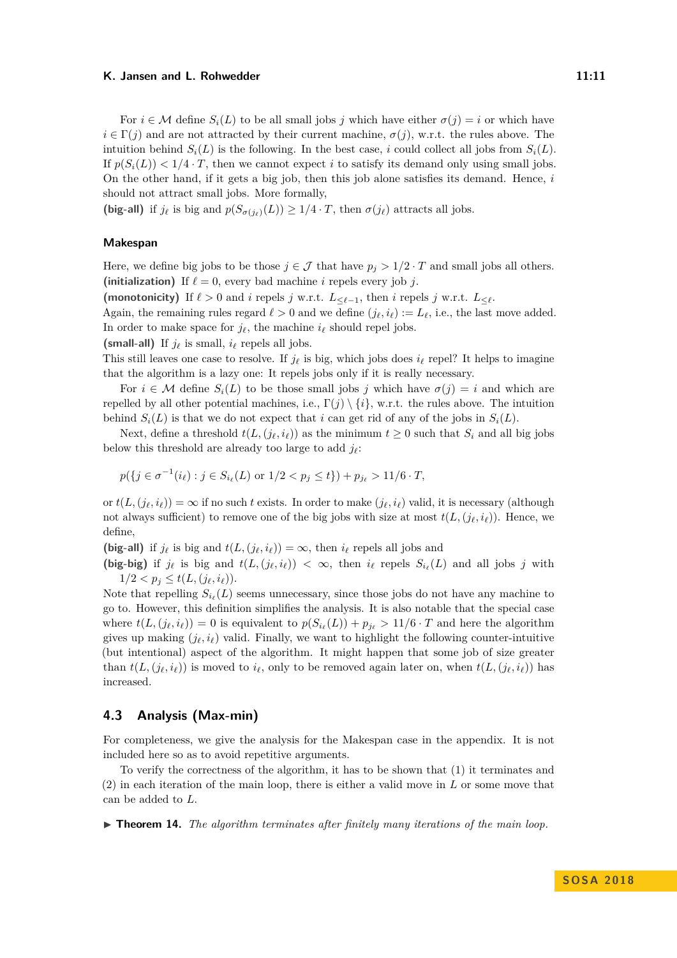For  $i \in \mathcal{M}$  define  $S_i(L)$  to be all small jobs *j* which have either  $\sigma(i) = i$  or which have  $i \in \Gamma(j)$  and are not attracted by their current machine,  $\sigma(j)$ , w.r.t. the rules above. The intuition behind  $S_i(L)$  is the following. In the best case, *i* could collect all jobs from  $S_i(L)$ . If  $p(S_i(L)) < 1/4 \cdot T$ , then we cannot expect *i* to satisfy its demand only using small jobs. On the other hand, if it gets a big job, then this job alone satisfies its demand. Hence, *i* should not attract small jobs. More formally,

**(big-all)** if  $j_{\ell}$  is big and  $p(S_{\sigma(j_{\ell})}(L)) \geq 1/4 \cdot T$ , then  $\sigma(j_{\ell})$  attracts all jobs.

### **Makespan**

Here, we define big jobs to be those  $j \in \mathcal{J}$  that have  $p_j > 1/2 \cdot T$  and small jobs all others. (initialization) If  $\ell = 0$ , every bad machine *i* repels every job *j*.

(monotonicity) If  $\ell > 0$  and *i* repels *j* w.r.t.  $L_{\leq \ell-1}$ , then *i* repels *j* w.r.t.  $L_{\leq \ell}$ .

Again, the remaining rules regard  $\ell > 0$  and we define  $(j_{\ell}, i_{\ell}) := L_{\ell}$ , i.e., the last move added. In order to make space for  $j_{\ell}$ , the machine  $i_{\ell}$  should repel jobs.

**(small-all)** If  $j_\ell$  is small,  $i_\ell$  repels all jobs.

This still leaves one case to resolve. If  $j_{\ell}$  is big, which jobs does  $i_{\ell}$  repel? It helps to imagine that the algorithm is a lazy one: It repels jobs only if it is really necessary.

For  $i \in \mathcal{M}$  define  $S_i(L)$  to be those small jobs *j* which have  $\sigma(j) = i$  and which are repelled by all other potential machines, i.e.,  $\Gamma(j) \setminus \{i\}$ , w.r.t. the rules above. The intuition behind  $S_i(L)$  is that we do not expect that *i* can get rid of any of the jobs in  $S_i(L)$ .

Next, define a threshold  $t(L, (j_\ell, i_\ell))$  as the minimum  $t \geq 0$  such that  $S_i$  and all big jobs below this threshold are already too large to add  $j_{\ell}$ :

$$
p(\{j \in \sigma^{-1}(i_\ell) : j \in S_{i_\ell}(L) \text{ or } 1/2 < p_j \le t\}) + p_{j_\ell} > 11/6 \cdot T,
$$

or  $t(L, (j_{\ell}, i_{\ell})) = \infty$  if no such *t* exists. In order to make  $(j_{\ell}, i_{\ell})$  valid, it is necessary (although not always sufficient) to remove one of the big jobs with size at most  $t(L, (j_\ell, i_\ell))$ . Hence, we define,

**(big-all)** if  $j_{\ell}$  is big and  $t(L, (j_{\ell}, i_{\ell})) = \infty$ , then  $i_{\ell}$  repels all jobs and

(big-big) if  $j_{\ell}$  is big and  $t(L, (j_{\ell}, i_{\ell})) < \infty$ , then  $i_{\ell}$  repels  $S_{i_{\ell}}(L)$  and all jobs  $j$  with  $1/2 < p_j \le t(L, (j_\ell, i_\ell)).$ 

Note that repelling  $S_{i_{\ell}}(L)$  seems unnecessary, since those jobs do not have any machine to go to. However, this definition simplifies the analysis. It is also notable that the special case where  $t(L, (j_{\ell}, i_{\ell})) = 0$  is equivalent to  $p(S_{i_{\ell}}(L)) + p_{j_{\ell}} > 11/6 \cdot T$  and here the algorithm gives up making  $(j_{\ell}, i_{\ell})$  valid. Finally, we want to highlight the following counter-intuitive (but intentional) aspect of the algorithm. It might happen that some job of size greater than  $t(L, (j_{\ell}, i_{\ell}))$  is moved to  $i_{\ell}$ , only to be removed again later on, when  $t(L, (j_{\ell}, i_{\ell}))$  has increased.

# **4.3 Analysis (Max-min)**

For completeness, we give the analysis for the Makespan case in the appendix. It is not included here so as to avoid repetitive arguments.

To verify the correctness of the algorithm, it has to be shown that (1) it terminates and (2) in each iteration of the main loop, there is either a valid move in *L* or some move that can be added to *L*.

 $\triangleright$  **Theorem 14.** The algorithm terminates after finitely many iterations of the main loop.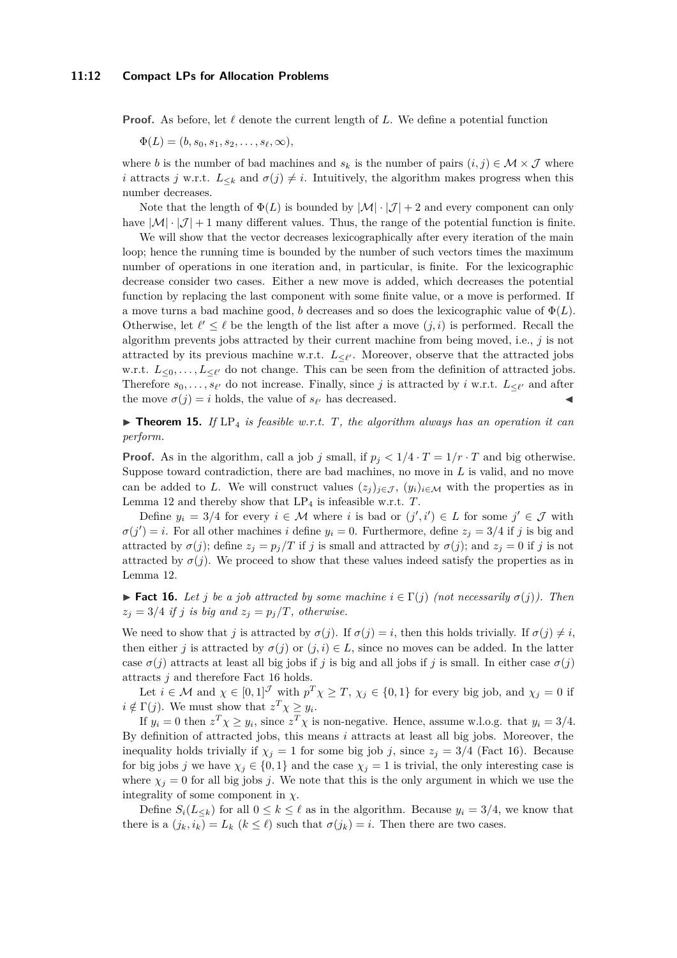**Proof.** As before, let  $\ell$  denote the current length of  $L$ . We define a potential function

 $\Phi(L) = (b, s_0, s_1, s_2, \ldots, s_\ell, \infty),$ 

where *b* is the number of bad machines and  $s_k$  is the number of pairs  $(i, j) \in \mathcal{M} \times \mathcal{J}$  where *i* attracts *j* w.r.t.  $L_{\leq k}$  and  $\sigma(j) \neq i$ . Intuitively, the algorithm makes progress when this number decreases.

Note that the length of  $\Phi(L)$  is bounded by  $|\mathcal{M}| \cdot |\mathcal{J}| + 2$  and every component can only have  $|\mathcal{M}| \cdot |\mathcal{J}| + 1$  many different values. Thus, the range of the potential function is finite.

We will show that the vector decreases lexicographically after every iteration of the main loop; hence the running time is bounded by the number of such vectors times the maximum number of operations in one iteration and, in particular, is finite. For the lexicographic decrease consider two cases. Either a new move is added, which decreases the potential function by replacing the last component with some finite value, or a move is performed. If a move turns a bad machine good, *b* decreases and so does the lexicographic value of  $\Phi(L)$ . Otherwise, let  $\ell' \leq \ell$  be the length of the list after a move  $(j, i)$  is performed. Recall the algorithm prevents jobs attracted by their current machine from being moved, i.e., *j* is not attracted by its previous machine w.r.t.  $L_{\leq \ell'}$ . Moreover, observe that the attracted jobs w.r.t.  $L_{\leq 0}, \ldots, L_{\leq \ell'}$  do not change. This can be seen from the definition of attracted jobs. Therefore  $s_0, \ldots, s_{\ell'}$  do not increase. Finally, since *j* is attracted by *i* w.r.t.  $L_{\leq \ell'}$  and after the move  $\sigma(j) = i$  holds, the value of  $s_{\ell'}$  has decreased.

 $\triangleright$  **Theorem 15.** If LP<sub>4</sub> is feasible w.r.t. T, the algorithm always has an operation it can *perform.*

**Proof.** As in the algorithm, call a job *j* small, if  $p_j < 1/4 \cdot T = 1/r \cdot T$  and big otherwise. Suppose toward contradiction, there are bad machines, no move in *L* is valid, and no move can be added to *L*. We will construct values  $(z_j)_{j\in\mathcal{J}}$ ,  $(y_i)_{i\in\mathcal{M}}$  with the properties as in Lemma [12](#page-7-1) and thereby show that LP<sup>4</sup> is infeasible w.r.t. *T*.

Define  $y_i = 3/4$  for every  $i \in \mathcal{M}$  where *i* is bad or  $(j', i') \in L$  for some  $j' \in \mathcal{J}$  with  $\sigma(j') = i$ . For all other machines *i* define  $y_i = 0$ . Furthermore, define  $z_j = 3/4$  if *j* is big and attracted by  $\sigma(j)$ ; define  $z_j = p_j/T$  if *j* is small and attracted by  $\sigma(j)$ ; and  $z_j = 0$  if *j* is not attracted by  $\sigma(j)$ . We proceed to show that these values indeed satisfy the properties as in Lemma [12.](#page-7-1)

<span id="page-11-0"></span>**► Fact 16.** Let *j* be a job attracted by some machine  $i \in \Gamma(j)$  (not necessarily  $\sigma(j)$ ). Then  $z_j = 3/4$  *if j is big and*  $z_j = p_j/T$ *, otherwise.* 

We need to show that *j* is attracted by  $\sigma(j)$ . If  $\sigma(j) = i$ , then this holds trivially. If  $\sigma(j) \neq i$ , then either *j* is attracted by  $\sigma(j)$  or  $(j, i) \in L$ , since no moves can be added. In the latter case  $\sigma(j)$  attracts at least all big jobs if *j* is big and all jobs if *j* is small. In either case  $\sigma(j)$ attracts *j* and therefore Fact [16](#page-11-0) holds.

Let  $i \in \mathcal{M}$  and  $\chi \in [0,1]^{\mathcal{J}}$  with  $p^T \chi \geq T$ ,  $\chi_j \in \{0,1\}$  for every big job, and  $\chi_j = 0$  if  $i \notin \Gamma(j)$ . We must show that  $z^T \chi \geq y_i$ .

If  $y_i = 0$  then  $z^T \chi \ge y_i$ , since  $z^T \chi$  is non-negative. Hence, assume w.l.o.g. that  $y_i = 3/4$ . By definition of attracted jobs, this means *i* attracts at least all big jobs. Moreover, the inequality holds trivially if  $\chi_j = 1$  for some big job *j*, since  $z_j = 3/4$  (Fact [16\)](#page-11-0). Because for big jobs *j* we have  $\chi_j \in \{0,1\}$  and the case  $\chi_j = 1$  is trivial, the only interesting case is where  $\chi_j = 0$  for all big jobs *j*. We note that this is the only argument in which we use the integrality of some component in  $\chi$ .

Define  $S_i(L_{\le k})$  for all  $0 \le k \le \ell$  as in the algorithm. Because  $y_i = 3/4$ , we know that there is a  $(j_k, i_k) = L_k$   $(k \leq \ell)$  such that  $\sigma(j_k) = i$ . Then there are two cases.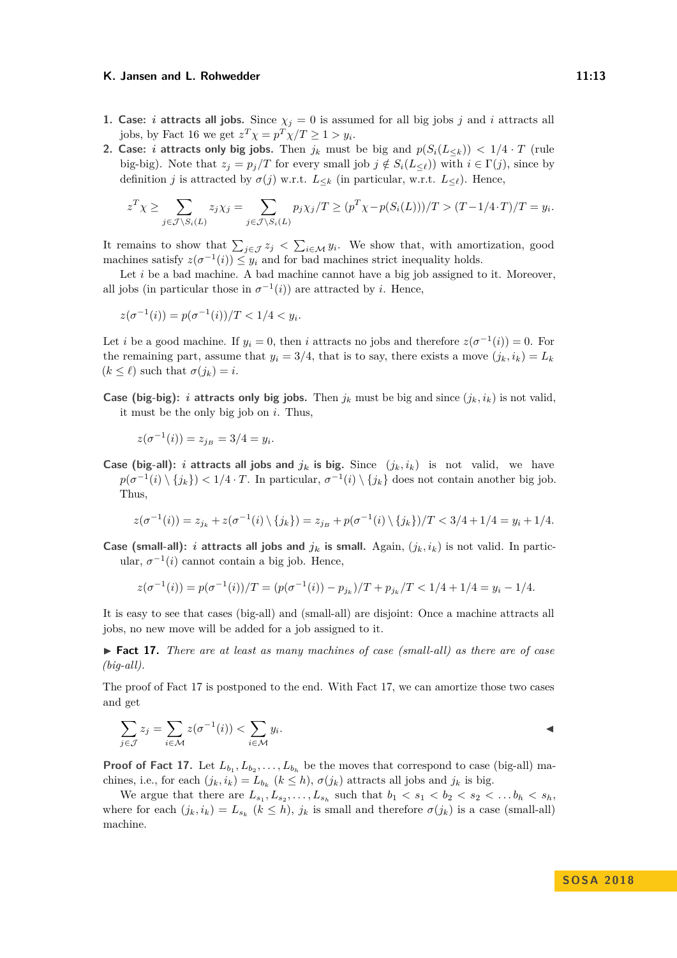- **1. Case:** *i* **attracts all jobs.** Since  $\chi_j = 0$  is assumed for all big jobs *j* and *i* attracts all jobs, by Fact [16](#page-11-0) we get  $z^T \chi = p^T \chi / T \ge 1 > y_i$ .
- **2. Case:** *i* **attracts only big jobs.** Then  $j_k$  must be big and  $p(S_i(L_{\leq k})) < 1/4 \cdot T$  (rule big-big). Note that  $z_j = p_j/T$  for every small job  $j \notin S_i(L_{\leq \ell})$  with  $i \in \Gamma(j)$ , since by definition *j* is attracted by  $\sigma(j)$  w.r.t.  $L_{\leq k}$  (in particular, w.r.t.  $L_{\leq \ell}$ ). Hence,

$$
z^T \chi \geq \sum_{j \in \mathcal{J} \setminus S_i(L)} z_j \chi_j = \sum_{j \in \mathcal{J} \setminus S_i(L)} p_j \chi_j / T \geq (p^T \chi - p(S_i(L)))/T > (T - 1/4 \cdot T) / T = y_i.
$$

It remains to show that  $\sum_{j\in\mathcal{J}}z_j < \sum_{i\in\mathcal{M}}y_i$ . We show that, with amortization, good machines satisfy  $z(\sigma^{-1}(i)) \leq y_i$  and for bad machines strict inequality holds.

Let *i* be a bad machine. A bad machine cannot have a big job assigned to it. Moreover, all jobs (in particular those in  $\sigma^{-1}(i)$ ) are attracted by *i*. Hence,

$$
z(\sigma^{-1}(i)) = p(\sigma^{-1}(i))/T < 1/4 < y_i.
$$

Let *i* be a good machine. If  $y_i = 0$ , then *i* attracts no jobs and therefore  $z(\sigma^{-1}(i)) = 0$ . For the remaining part, assume that  $y_i = 3/4$ , that is to say, there exists a move  $(j_k, i_k) = L_k$  $(k < \ell)$  such that  $\sigma(i_k) = i$ .

**Case (big-big):** *i* **attracts only big jobs.** Then  $j_k$  must be big and since  $(j_k, i_k)$  is not valid, it must be the only big job on *i*. Thus,

$$
z(\sigma^{-1}(i)) = z_{j_B} = 3/4 = y_i.
$$

**Case (big-all):** *i* **attracts all jobs and**  $j_k$  **is big.** Since  $(j_k, i_k)$  is not valid, we have  $p(\sigma^{-1}(i) \setminus \{j_k\}) < 1/4 \cdot T$ . In particular,  $\sigma^{-1}(i) \setminus \{j_k\}$  does not contain another big job. Thus,

$$
z(\sigma^{-1}(i)) = z_{j_k} + z(\sigma^{-1}(i) \setminus \{j_k\}) = z_{j_B} + p(\sigma^{-1}(i) \setminus \{j_k\})/T < 3/4 + 1/4 = y_i + 1/4.
$$

**Case (small-all):** *i* **attracts all jobs and**  $j_k$  is small. Again,  $(j_k, i_k)$  is not valid. In particular,  $\sigma^{-1}(i)$  cannot contain a big job. Hence,

$$
z(\sigma^{-1}(i)) = p(\sigma^{-1}(i))/T = (p(\sigma^{-1}(i)) - p_{j_k})/T + p_{j_k}/T < 1/4 + 1/4 = y_i - 1/4.
$$

It is easy to see that cases (big-all) and (small-all) are disjoint: Once a machine attracts all jobs, no new move will be added for a job assigned to it.

<span id="page-12-0"></span>► **Fact 17.** *There are at least as many machines of case (small-all) as there are of case (big-all).*

The proof of Fact [17](#page-12-0) is postponed to the end. With Fact [17,](#page-12-0) we can amortize those two cases and get

$$
\sum_{j \in \mathcal{J}} z_j = \sum_{i \in \mathcal{M}} z(\sigma^{-1}(i)) < \sum_{i \in \mathcal{M}} y_i.
$$

**Proof of Fact [17.](#page-12-0)** Let  $L_{b_1}, L_{b_2}, \ldots, L_{b_h}$  be the moves that correspond to case (big-all) machines, i.e., for each  $(j_k, i_k) = L_{b_k}$   $(k \leq h)$ ,  $\sigma(j_k)$  attracts all jobs and  $j_k$  is big.

We argue that there are  $L_{s_1}, L_{s_2}, \ldots, L_{s_h}$  such that  $b_1 < s_1 < b_2 < s_2 < \ldots b_h < s_h$ , where for each  $(j_k, i_k) = L_{s_k}$   $(k \leq h)$ ,  $j_k$  is small and therefore  $\sigma(j_k)$  is a case (small-all) machine.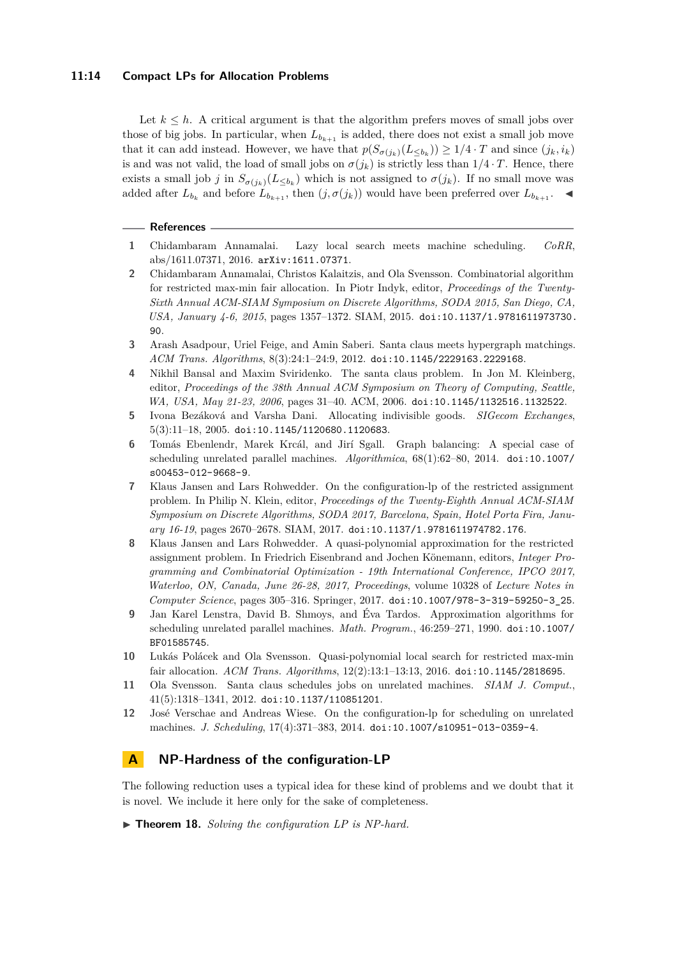### **11:14 Compact LPs for Allocation Problems**

Let  $k \leq h$ . A critical argument is that the algorithm prefers moves of small jobs over those of big jobs. In particular, when  $L_{b_{k+1}}$  is added, there does not exist a small job move that it can add instead. However, we have that  $p(S_{\sigma(j_k)}(L_{\leq b_k})) \geq 1/4 \cdot T$  and since  $(j_k, i_k)$ is and was not valid, the load of small jobs on  $\sigma(j_k)$  is strictly less than  $1/4 \cdot T$ . Hence, there exists a small job *j* in  $S_{\sigma(j_k)}(L_{\leq b_k})$  which is not assigned to  $\sigma(j_k)$ . If no small move was added after  $L_{b_k}$  and before  $L_{b_{k+1}}$ , then  $(j, \sigma(j_k))$  would have been preferred over  $L_{b_{k+1}}$ .

#### **References**

- <span id="page-13-9"></span>**1** Chidambaram Annamalai. Lazy local search meets machine scheduling. *CoRR*, abs/1611.07371, 2016. [arXiv:1611.07371](http://arxiv.org/abs/1611.07371).
- <span id="page-13-7"></span>**2** Chidambaram Annamalai, Christos Kalaitzis, and Ola Svensson. Combinatorial algorithm for restricted max-min fair allocation. In Piotr Indyk, editor, *Proceedings of the Twenty-Sixth Annual ACM-SIAM Symposium on Discrete Algorithms, SODA 2015, San Diego, CA, USA, January 4-6, 2015*, pages 1357–1372. SIAM, 2015. [doi:10.1137/1.9781611973730.](http://dx.doi.org/10.1137/1.9781611973730.90) [90](http://dx.doi.org/10.1137/1.9781611973730.90).
- <span id="page-13-1"></span>**3** Arash Asadpour, Uriel Feige, and Amin Saberi. Santa claus meets hypergraph matchings. *ACM Trans. Algorithms*, 8(3):24:1–24:9, 2012. [doi:10.1145/2229163.2229168](http://dx.doi.org/10.1145/2229163.2229168).
- <span id="page-13-0"></span>**4** Nikhil Bansal and Maxim Sviridenko. The santa claus problem. In Jon M. Kleinberg, editor, *Proceedings of the 38th Annual ACM Symposium on Theory of Computing, Seattle, WA, USA, May 21-23, 2006*, pages 31–40. ACM, 2006. [doi:10.1145/1132516.1132522](http://dx.doi.org/10.1145/1132516.1132522).
- <span id="page-13-5"></span>**5** Ivona Bezáková and Varsha Dani. Allocating indivisible goods. *SIGecom Exchanges*, 5(3):11–18, 2005. [doi:10.1145/1120680.1120683](http://dx.doi.org/10.1145/1120680.1120683).
- <span id="page-13-12"></span>**6** Tomás Ebenlendr, Marek Krcál, and Jirí Sgall. Graph balancing: A special case of scheduling unrelated parallel machines. *Algorithmica*, 68(1):62–80, 2014. [doi:10.1007/](http://dx.doi.org/10.1007/s00453-012-9668-9) [s00453-012-9668-9](http://dx.doi.org/10.1007/s00453-012-9668-9).
- <span id="page-13-4"></span>**7** Klaus Jansen and Lars Rohwedder. On the configuration-lp of the restricted assignment problem. In Philip N. Klein, editor, *Proceedings of the Twenty-Eighth Annual ACM-SIAM Symposium on Discrete Algorithms, SODA 2017, Barcelona, Spain, Hotel Porta Fira, January 16-19*, pages 2670–2678. SIAM, 2017. [doi:10.1137/1.9781611974782.176](http://dx.doi.org/10.1137/1.9781611974782.176).
- <span id="page-13-8"></span>**8** Klaus Jansen and Lars Rohwedder. A quasi-polynomial approximation for the restricted assignment problem. In Friedrich Eisenbrand and Jochen Könemann, editors, *Integer Programming and Combinatorial Optimization - 19th International Conference, IPCO 2017, Waterloo, ON, Canada, June 26-28, 2017, Proceedings*, volume 10328 of *Lecture Notes in Computer Science*, pages 305–316. Springer, 2017. [doi:10.1007/978-3-319-59250-3\\_25](http://dx.doi.org/10.1007/978-3-319-59250-3_25).
- <span id="page-13-3"></span>**9** Jan Karel Lenstra, David B. Shmoys, and Éva Tardos. Approximation algorithms for scheduling unrelated parallel machines. *Math. Program.*, 46:259–271, 1990. [doi:10.1007/](http://dx.doi.org/10.1007/BF01585745) [BF01585745](http://dx.doi.org/10.1007/BF01585745).
- <span id="page-13-6"></span>**10** Lukás Polácek and Ola Svensson. Quasi-polynomial local search for restricted max-min fair allocation. *ACM Trans. Algorithms*, 12(2):13:1–13:13, 2016. [doi:10.1145/2818695](http://dx.doi.org/10.1145/2818695).
- <span id="page-13-2"></span>**11** Ola Svensson. Santa claus schedules jobs on unrelated machines. *SIAM J. Comput.*, 41(5):1318–1341, 2012. [doi:10.1137/110851201](http://dx.doi.org/10.1137/110851201).
- <span id="page-13-11"></span>**12** José Verschae and Andreas Wiese. On the configuration-lp for scheduling on unrelated machines. *J. Scheduling*, 17(4):371–383, 2014. [doi:10.1007/s10951-013-0359-4](http://dx.doi.org/10.1007/s10951-013-0359-4).

# <span id="page-13-10"></span>**A NP-Hardness of the configuration-LP**

The following reduction uses a typical idea for these kind of problems and we doubt that it is novel. We include it here only for the sake of completeness.

▶ **Theorem 18.** *Solving the configuration LP is NP-hard.*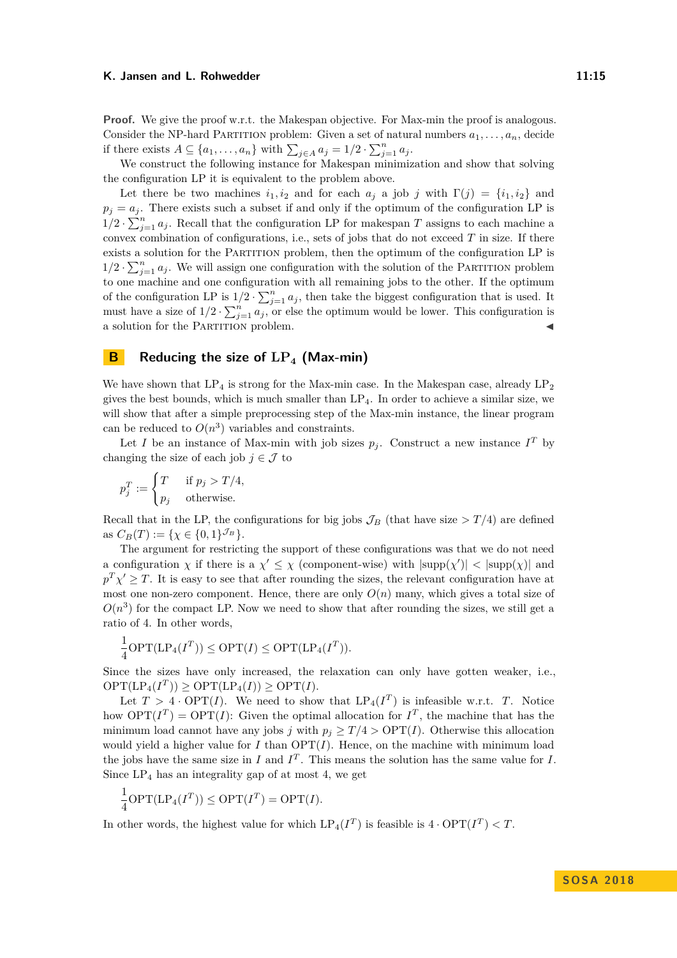**Proof.** We give the proof w.r.t. the Makespan objective. For Max-min the proof is analogous. Consider the NP-hard PARTITION problem: Given a set of natural numbers  $a_1, \ldots, a_n$ , decide if there exists  $A \subseteq \{a_1, \ldots, a_n\}$  with  $\sum_{j \in A} a_j = 1/2 \cdot \sum_{j=1}^n a_j$ .

We construct the following instance for Makespan minimization and show that solving the configuration LP it is equivalent to the problem above.

Let there be two machines  $i_1, i_2$  and for each  $a_i$  a job *j* with  $\Gamma(i) = \{i_1, i_2\}$  and  $p_j = a_j$ . There exists such a subset if and only if the optimum of the configuration LP is  $1/2 \cdot \sum_{j=1}^{n} a_j$ . Recall that the configuration LP for makespan *T* assigns to each machine a convex combination of configurations, i.e., sets of jobs that do not exceed *T* in size. If there exists a solution for the Partition problem, then the optimum of the configuration LP is  $1/2 \cdot \sum_{j=1}^{n} a_j$ . We will assign one configuration with the solution of the PARTITION problem to one machine and one configuration with all remaining jobs to the other. If the optimum of the configuration LP is  $1/2 \cdot \sum_{j=1}^{n} a_j$ , then take the biggest configuration that is used. It must have a size of  $1/2 \cdot \sum_{j=1}^{n} a_j$ , or else the optimum would be lower. This configuration is a solution for the PARTITION problem.

## <span id="page-14-0"></span>**B Reducing the size of LP<sup>4</sup> (Max-min)**

We have shown that  $LP_4$  is strong for the Max-min case. In the Makespan case, already  $LP_2$ gives the best bounds, which is much smaller than  $LP_4$ . In order to achieve a similar size, we will show that after a simple preprocessing step of the Max-min instance, the linear program can be reduced to  $O(n^3)$  variables and constraints.

Let *I* be an instance of Max-min with job sizes  $p_j$ . Construct a new instance  $I^T$  by changing the size of each job  $j \in \mathcal{J}$  to

$$
p_j^T := \begin{cases} T & \text{if } p_j > T/4, \\ p_j & \text{otherwise.} \end{cases}
$$

Recall that in the LP, the configurations for big jobs  $\mathcal{J}_B$  (that have size  $> T/4$ ) are defined as  $C_B(T) := \{ \chi \in \{0,1\}^{\mathcal{J}_B} \}.$ 

The argument for restricting the support of these configurations was that we do not need a configuration  $\chi$  if there is a  $\chi' \leq \chi$  (component-wise) with  $|\text{supp}(\chi')| < |\text{supp}(\chi)|$  and  $p^T \chi' \geq T$ . It is easy to see that after rounding the sizes, the relevant configuration have at most one non-zero component. Hence, there are only  $O(n)$  many, which gives a total size of  $O(n^3)$  for the compact LP. Now we need to show that after rounding the sizes, we still get a ratio of 4. In other words,

$$
\frac{1}{4}\textnormal{OPT}(\textnormal{LP}_4(I^T)) \leq \textnormal{OPT}(I) \leq \textnormal{OPT}(\textnormal{LP}_4(I^T)).
$$

Since the sizes have only increased, the relaxation can only have gotten weaker, i.e.,  $OPT(\text{LP}_4(I^T)) \geq OPT(\text{LP}_4(I)) \geq OPT(I).$ 

Let  $T > 4 \cdot \text{OPT}(I)$ . We need to show that  $\text{LP}_4(I^T)$  is infeasible w.r.t. *T*. Notice how  $\text{OPT}(I^T) = \text{OPT}(I)$ : Given the optimal allocation for  $I^T$ , the machine that has the minimum load cannot have any jobs *j* with  $p_i > T/4 > \text{OPT}(I)$ . Otherwise this allocation would yield a higher value for  $I$  than  $\text{OPT}(I)$ . Hence, on the machine with minimum load the jobs have the same size in *I* and  $I<sup>T</sup>$ . This means the solution has the same value for *I*. Since  $LP_4$  has an integrality gap of at most 4, we get

$$
\frac{1}{4}\text{OPT}(\text{LP}_4(I^T)) \le \text{OPT}(I^T) = \text{OPT}(I).
$$

In other words, the highest value for which  $\text{LP}_4(I^T)$  is feasible is  $4 \cdot \text{OPT}(I^T) < T$ .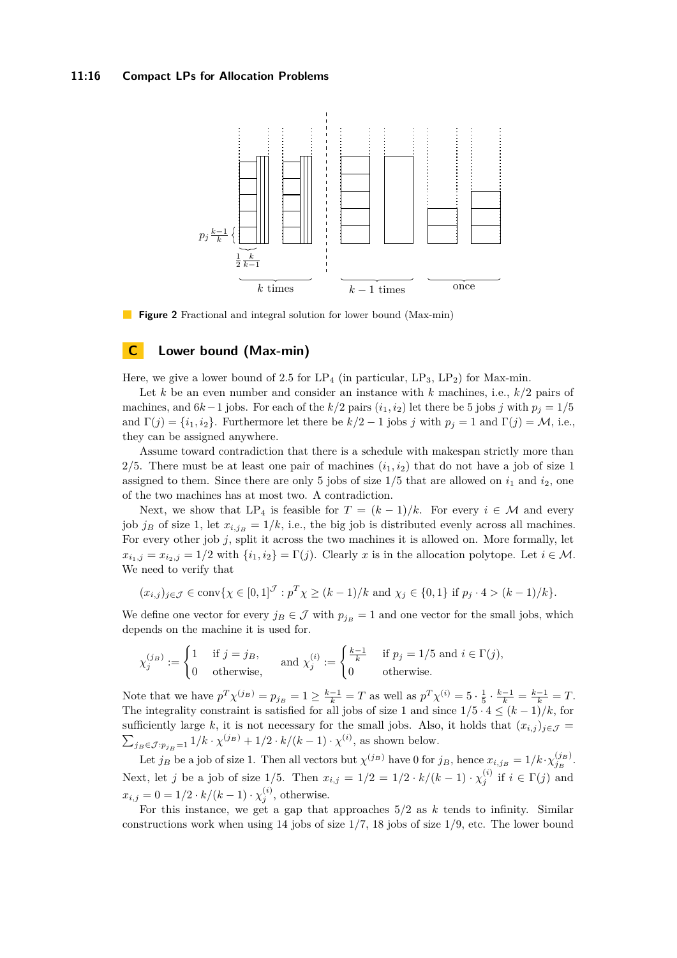### **11:16 Compact LPs for Allocation Problems**



**Figure 2** Fractional and integral solution for lower bound (Max-min)

### **C Lower bound (Max-min)**

Here, we give a lower bound of 2.5 for  $LP_4$  (in particular,  $LP_3$ ,  $LP_2$ ) for Max-min.

Let *k* be an even number and consider an instance with *k* machines, i.e., *k/*2 pairs of machines, and  $6k-1$  jobs. For each of the  $k/2$  pairs  $(i_1, i_2)$  let there be 5 jobs *j* with  $p_j = 1/5$ and  $\Gamma(j) = \{i_1, i_2\}$ . Furthermore let there be  $k/2 - 1$  jobs *j* with  $p_j = 1$  and  $\Gamma(j) = M$ , i.e., they can be assigned anywhere.

Assume toward contradiction that there is a schedule with makespan strictly more than 2/5. There must be at least one pair of machines  $(i_1, i_2)$  that do not have a job of size 1 assigned to them. Since there are only 5 jobs of size  $1/5$  that are allowed on  $i_1$  and  $i_2$ , one of the two machines has at most two. A contradiction.

Next, we show that  $LP_4$  is feasible for  $T = (k-1)/k$ . For every  $i \in \mathcal{M}$  and every job *j<sub>B</sub>* of size 1, let  $x_{i,jB} = 1/k$ , i.e., the big job is distributed evenly across all machines. For every other job *j*, split it across the two machines it is allowed on. More formally, let  $x_{i_1,j} = x_{i_2,j} = 1/2$  with  $\{i_1,i_2\} = \Gamma(j)$ . Clearly *x* is in the allocation polytope. Let  $i \in \mathcal{M}$ . We need to verify that

$$
(x_{i,j})_{j \in \mathcal{J}} \in \text{conv}\{\chi \in [0,1]^{\mathcal{J}} : p^T \chi \ge (k-1)/k \text{ and } \chi_j \in \{0,1\} \text{ if } p_j \cdot 4 > (k-1)/k\}.
$$

We define one vector for every  $j_B \in \mathcal{J}$  with  $p_{j_B} = 1$  and one vector for the small jobs, which depends on the machine it is used for.

$$
\chi_j^{(j_B)} := \begin{cases} 1 & \text{if } j = j_B, \\ 0 & \text{otherwise,} \end{cases} \quad \text{and } \chi_j^{(i)} := \begin{cases} \frac{k-1}{k} & \text{if } p_j = 1/5 \text{ and } i \in \Gamma(j), \\ 0 & \text{otherwise.} \end{cases}
$$

Note that we have  $p^T \chi^{(j_B)} = p_{j_B} = 1 \ge \frac{k-1}{k} = T$  as well as  $p^T \chi^{(i)} = 5 \cdot \frac{1}{5} \cdot \frac{k-1}{k} = \frac{k-1}{k} = T$ . The integrality constraint is satisfied for all jobs of size 1 and since  $1/5 \cdot 4 \leq (k-1)/k$ , for sufficiently large k, it is not necessary for the small jobs. Also, it holds that  $(x_{i,j})_{j\in\mathcal{J}} =$  $\sum_{j_B \in \mathcal{J}: p_{j_B} = 1} 1/k \cdot \chi^{(j_B)} + 1/2 \cdot k/(k-1) \cdot \chi^{(i)}$ , as shown below.

Let  $j_B$  be a job of size 1. Then all vectors but  $\chi^{(j_B)}$  have 0 for  $j_B$ , hence  $x_{i,j_B} = 1/k \cdot \chi^{(j_B)}_{j_B}$ . Next, let *j* be a job of size 1/5. Then  $x_{i,j} = 1/2 = 1/2 \cdot k/(k-1) \cdot \chi_j^{(i)}$  if  $i \in \Gamma(j)$  and  $x_{i,j} = 0 = 1/2 \cdot k/(k-1) \cdot \chi_j^{(i)}$ , otherwise.

For this instance, we get a gap that approaches 5*/*2 as *k* tends to infinity. Similar constructions work when using 14 jobs of size 1*/*7, 18 jobs of size 1*/*9, etc. The lower bound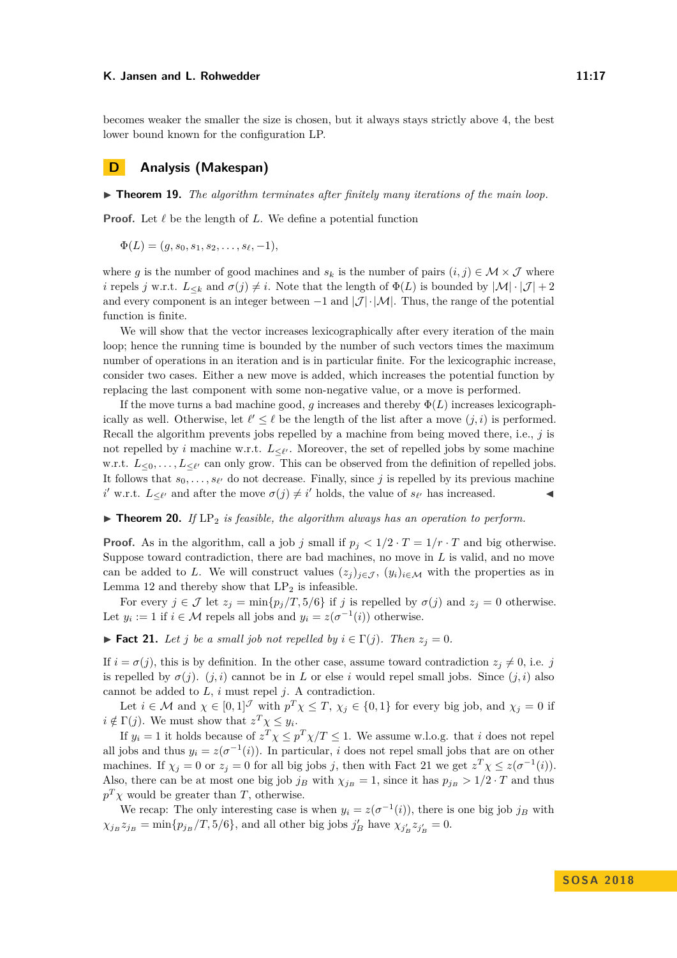becomes weaker the smaller the size is chosen, but it always stays strictly above 4, the best lower bound known for the configuration LP.

### **D Analysis (Makespan)**

 $\triangleright$  **Theorem 19.** The algorithm terminates after finitely many iterations of the main loop.

**Proof.** Let  $\ell$  be the length of  $L$ . We define a potential function

 $\Phi(L) = (q, s_0, s_1, s_2, \ldots, s_\ell, -1),$ 

where *g* is the number of good machines and  $s_k$  is the number of pairs  $(i, j) \in \mathcal{M} \times \mathcal{J}$  where *i* repels *j* w.r.t.  $L_{\leq k}$  and  $\sigma(j) \neq i$ . Note that the length of  $\Phi(L)$  is bounded by  $|\mathcal{M}| \cdot |\mathcal{J}| + 2$ and every component is an integer between  $-1$  and  $|\mathcal{J}| \cdot |\mathcal{M}|$ . Thus, the range of the potential function is finite.

We will show that the vector increases lexicographically after every iteration of the main loop; hence the running time is bounded by the number of such vectors times the maximum number of operations in an iteration and is in particular finite. For the lexicographic increase, consider two cases. Either a new move is added, which increases the potential function by replacing the last component with some non-negative value, or a move is performed.

If the move turns a bad machine good,  $g$  increases and thereby  $\Phi(L)$  increases lexicographically as well. Otherwise, let  $\ell' \leq \ell$  be the length of the list after a move  $(j, i)$  is performed. Recall the algorithm prevents jobs repelled by a machine from being moved there, i.e., *j* is not repelled by *i* machine w.r.t.  $L_{\leq \ell'}$ . Moreover, the set of repelled jobs by some machine w.r.t.  $L_{\leq 0}, \ldots, L_{\leq \ell'}$  can only grow. This can be observed from the definition of repelled jobs. It follows that  $s_0, \ldots, s_{\ell'}$  do not decrease. Finally, since *j* is repelled by its previous machine *i*<sup> $'$ </sup> w.r.t.  $L_{\leq \ell'}$  and after the move  $\sigma(j) \neq i'$  holds, the value of  $s_{\ell'}$  has increased.

 $\triangleright$  **Theorem 20.** If LP<sub>2</sub> is feasible, the algorithm always has an operation to perform.

**Proof.** As in the algorithm, call a job *j* small if  $p_j < 1/2 \cdot T = 1/r \cdot T$  and big otherwise. Suppose toward contradiction, there are bad machines, no move in *L* is valid, and no move can be added to *L*. We will construct values  $(z_j)_{j\in\mathcal{J}}$ ,  $(y_i)_{i\in\mathcal{M}}$  with the properties as in Lemma [12](#page-7-1) and thereby show that  $LP_2$  is infeasible.

For every  $j \in \mathcal{J}$  let  $z_j = \min\{p_j/T, 5/6\}$  if *j* is repelled by  $\sigma(j)$  and  $z_j = 0$  otherwise. Let  $y_i := 1$  if  $i \in \mathcal{M}$  repels all jobs and  $y_i = z(\sigma^{-1}(i))$  otherwise.

<span id="page-16-0"></span>► **Fact 21.** Let *j* be a small job not repelled by  $i \in \Gamma(j)$ . Then  $z_j = 0$ .

If  $i = \sigma(j)$ , this is by definition. In the other case, assume toward contradiction  $z_j \neq 0$ , i.e. *j* is repelled by  $\sigma(j)$ .  $(j, i)$  cannot be in *L* or else *i* would repel small jobs. Since  $(j, i)$  also cannot be added to *L*, *i* must repel *j*. A contradiction.

Let  $i \in \mathcal{M}$  and  $\chi \in [0,1]^{\mathcal{J}}$  with  $p^T \chi \leq T$ ,  $\chi_j \in \{0,1\}$  for every big job, and  $\chi_j = 0$  if  $i \notin \Gamma(j)$ . We must show that  $z^T \chi \leq y_i$ .

If  $y_i = 1$  it holds because of  $z^T \chi \leq p^T \chi / T \leq 1$ . We assume w.l.o.g. that *i* does not repel all jobs and thus  $y_i = z(\sigma^{-1}(i))$ . In particular, *i* does not repel small jobs that are on other machines. If  $\chi_j = 0$  or  $z_j = 0$  for all big jobs *j*, then with Fact [21](#page-16-0) we get  $z^T \chi \leq z(\sigma^{-1}(i))$ . Also, there can be at most one big job  $j_B$  with  $\chi_{j_B} = 1$ , since it has  $p_{j_B} > 1/2 \cdot T$  and thus  $p^T \chi$  would be greater than *T*, otherwise.

We recap: The only interesting case is when  $y_i = z(\sigma^{-1}(i))$ , there is one big job  $j_B$  with  $\chi_{j_B} z_{j_B} = \min\{p_{j_B}/T, 5/6\}$ , and all other big jobs  $j'_B$  have  $\chi_{j'_B} z_{j'_B} = 0$ .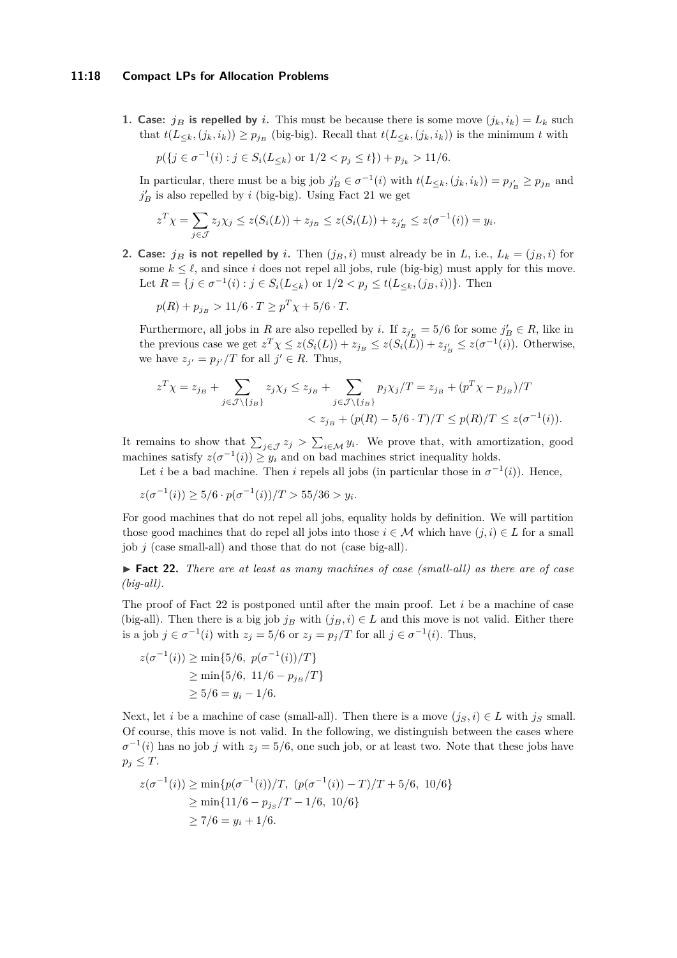#### **11:18 Compact LPs for Allocation Problems**

**1. Case:** *j<sub>B</sub>* is repelled by *i*. This must be because there is some move  $(j_k, i_k) = L_k$  such that  $t(L_{\leq k}, (j_k, i_k)) \geq p_{j_B}$  (big-big). Recall that  $t(L_{\leq k}, (j_k, i_k))$  is the minimum t with

$$
p(\{j \in \sigma^{-1}(i) : j \in S_i(L_{\leq k}) \text{ or } 1/2 < p_j \leq t\}) + p_{j_k} > 11/6.
$$

In particular, there must be a big job  $j'_B \in \sigma^{-1}(i)$  with  $t(L_{\leq k}, (j_k, i_k)) = p_{j'_B} \geq p_{j_B}$  and  $j'_B$  is also repelled by *i* (big-big). Using Fact [21](#page-16-0) we get

$$
z^T \chi = \sum_{j \in \mathcal{J}} z_j \chi_j \le z(S_i(L)) + z_{j_B} \le z(S_i(L)) + z_{j'_B} \le z(\sigma^{-1}(i)) = y_i.
$$

**2. Case:**  $j_B$  is not repelled by *i*. Then  $(j_B, i)$  must already be in *L*, i.e.,  $L_k = (j_B, i)$  for some  $k \leq \ell$ , and since *i* does not repel all jobs, rule (big-big) must apply for this move. Let  $R = \{j \in \sigma^{-1}(i) : j \in S_i(L_{\leq k}) \text{ or } 1/2 < p_j \leq t(L_{\leq k}, (j_B, i))\}$ . Then

 $p(R) + p_{j_B} > 11/6 \cdot T \ge p^T \chi + 5/6 \cdot T$ .

Furthermore, all jobs in *R* are also repelled by *i*. If  $z_{j'_B} = 5/6$  for some  $j'_B \in R$ , like in the previous case we get  $z^T \chi \leq z(S_i(L)) + z_{j_B} \leq z(S_i(L)) + z_{j'_B} \leq z(\sigma^{-1}(i))$ . Otherwise, we have  $z_{j'} = p_{j'}/T$  for all  $j' \in R$ . Thus,

$$
z^{T} \chi = z_{j_{B}} + \sum_{j \in \mathcal{J} \setminus \{j_{B}\}} z_{j} \chi_{j} \leq z_{j_{B}} + \sum_{j \in \mathcal{J} \setminus \{j_{B}\}} p_{j} \chi_{j}/T = z_{j_{B}} + (p^{T} \chi - p_{j_{B}})/T
$$
  

$$
< z_{j_{B}} + (p(R) - 5/6 \cdot T)/T \leq p(R)/T \leq z(\sigma^{-1}(i)).
$$

It remains to show that  $\sum_{j\in\mathcal{J}}z_j > \sum_{i\in\mathcal{M}}y_i$ . We prove that, with amortization, good machines satisfy  $z(\sigma^{-1}(i)) \geq y_i$  and on bad machines strict inequality holds.

Let *i* be a bad machine. Then *i* repels all jobs (in particular those in  $\sigma^{-1}(i)$ ). Hence,

 $z(\sigma^{-1}(i)) \geq 5/6 \cdot p(\sigma^{-1}(i))/T > 55/36 > y_i$ .

For good machines that do not repel all jobs, equality holds by definition. We will partition those good machines that do repel all jobs into those  $i \in \mathcal{M}$  which have  $(i, i) \in L$  for a small job *j* (case small-all) and those that do not (case big-all).

<span id="page-17-0"></span>► **Fact 22.** *There are at least as many machines of case (small-all) as there are of case (big-all).*

The proof of Fact [22](#page-17-0) is postponed until after the main proof. Let *i* be a machine of case (big-all). Then there is a big job  $j_B$  with  $(j_B, i) \in L$  and this move is not valid. Either there is a job  $j \in \sigma^{-1}(i)$  with  $z_j = 5/6$  or  $z_j = p_j/T$  for all  $j \in \sigma^{-1}(i)$ . Thus,

$$
z(\sigma^{-1}(i)) \ge \min\{5/6, \ p(\sigma^{-1}(i))/T\}
$$
  
\n
$$
\ge \min\{5/6, \ 11/6 - p_{j_B}/T\}
$$
  
\n
$$
\ge 5/6 = y_i - 1/6.
$$

Next, let *i* be a machine of case (small-all). Then there is a move  $(j_S, i) \in L$  with  $j_S$  small. Of course, this move is not valid. In the following, we distinguish between the cases where  $\sigma^{-1}(i)$  has no job *j* with  $z_j = 5/6$ , one such job, or at least two. Note that these jobs have  $p_j \leq T$ .

$$
z(\sigma^{-1}(i)) \ge \min\{p(\sigma^{-1}(i))/T, (p(\sigma^{-1}(i)) - T)/T + 5/6, 10/6\}
$$
  
 
$$
\ge \min\{11/6 - p_{j_S}/T - 1/6, 10/6\}
$$
  
 
$$
\ge 7/6 = y_i + 1/6.
$$